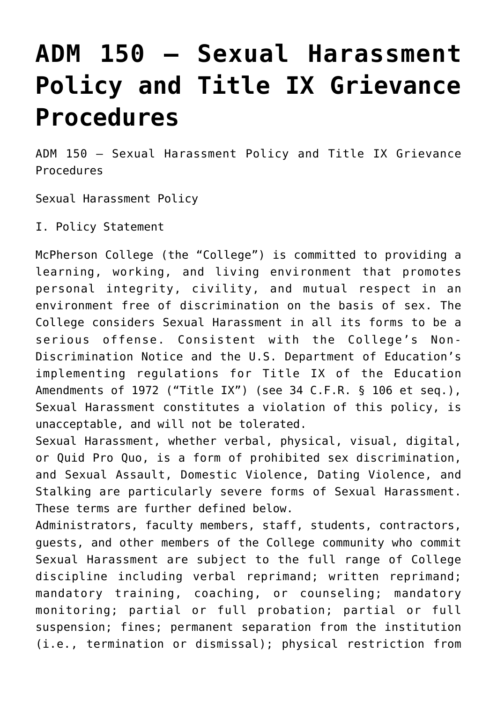# **[ADM 150 – Sexual Harassment](https://wwwi.mcpherson.edu/admin-policies/adm-150-sexual-misconduct-policy-and-complaint-resolution-procedures/) [Policy and Title IX Grievance](https://wwwi.mcpherson.edu/admin-policies/adm-150-sexual-misconduct-policy-and-complaint-resolution-procedures/) [Procedures](https://wwwi.mcpherson.edu/admin-policies/adm-150-sexual-misconduct-policy-and-complaint-resolution-procedures/)**

ADM 150 – Sexual Harassment Policy and Title IX Grievance Procedures

Sexual Harassment Policy

I. Policy Statement

McPherson College (the "College") is committed to providing a learning, working, and living environment that promotes personal integrity, civility, and mutual respect in an environment free of discrimination on the basis of sex. The College considers Sexual Harassment in all its forms to be a serious offense. Consistent with the College's Non-Discrimination Notice and the U.S. Department of Education's implementing regulations for Title IX of the Education Amendments of 1972 ("Title IX") (see 34 C.F.R. § 106 et seq.), Sexual Harassment constitutes a violation of this policy, is unacceptable, and will not be tolerated.

Sexual Harassment, whether verbal, physical, visual, digital, or Quid Pro Quo, is a form of prohibited sex discrimination, and Sexual Assault, Domestic Violence, Dating Violence, and Stalking are particularly severe forms of Sexual Harassment. These terms are further defined below.

Administrators, faculty members, staff, students, contractors, guests, and other members of the College community who commit Sexual Harassment are subject to the full range of College discipline including verbal reprimand; written reprimand; mandatory training, coaching, or counseling; mandatory monitoring; partial or full probation; partial or full suspension; fines; permanent separation from the institution (i.e., termination or dismissal); physical restriction from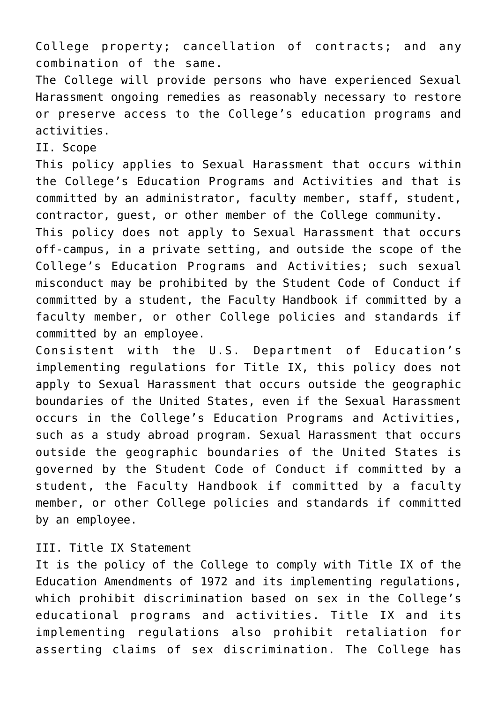College property; cancellation of contracts; and any combination of the same.

The College will provide persons who have experienced Sexual Harassment ongoing remedies as reasonably necessary to restore or preserve access to the College's education programs and activities.

II. Scope

This policy applies to Sexual Harassment that occurs within the College's Education Programs and Activities and that is committed by an administrator, faculty member, staff, student, contractor, guest, or other member of the College community.

This policy does not apply to Sexual Harassment that occurs off-campus, in a private setting, and outside the scope of the College's Education Programs and Activities; such sexual misconduct may be prohibited by the Student Code of Conduct if committed by a student, the Faculty Handbook if committed by a faculty member, or other College policies and standards if committed by an employee.

Consistent with the U.S. Department of Education's implementing regulations for Title IX, this policy does not apply to Sexual Harassment that occurs outside the geographic boundaries of the United States, even if the Sexual Harassment occurs in the College's Education Programs and Activities, such as a study abroad program. Sexual Harassment that occurs outside the geographic boundaries of the United States is governed by the Student Code of Conduct if committed by a student, the Faculty Handbook if committed by a faculty member, or other College policies and standards if committed by an employee.

# III. Title IX Statement

It is the policy of the College to comply with Title IX of the Education Amendments of 1972 and its implementing regulations, which prohibit discrimination based on sex in the College's educational programs and activities. Title IX and its implementing regulations also prohibit retaliation for asserting claims of sex discrimination. The College has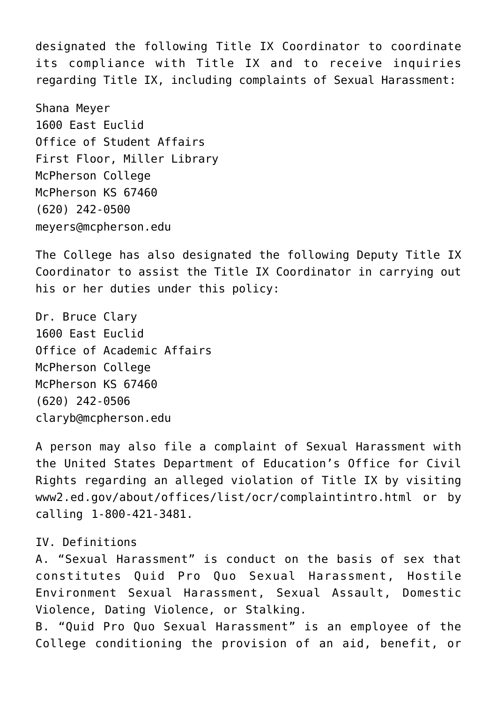designated the following Title IX Coordinator to coordinate its compliance with Title IX and to receive inquiries regarding Title IX, including complaints of Sexual Harassment:

Shana Meyer 1600 East Euclid Office of Student Affairs First Floor, Miller Library McPherson College McPherson KS 67460 (620) 242-0500 meyers@mcpherson.edu

The College has also designated the following Deputy Title IX Coordinator to assist the Title IX Coordinator in carrying out his or her duties under this policy:

Dr. Bruce Clary 1600 East Euclid Office of Academic Affairs McPherson College McPherson KS 67460 (620) 242-0506 claryb@mcpherson.edu

A person may also file a complaint of Sexual Harassment with the United States Department of Education's Office for Civil Rights regarding an alleged violation of Title IX by visiting www2.ed.gov/about/offices/list/ocr/complaintintro.html or by calling 1-800-421-3481.

#### IV. Definitions

A. "Sexual Harassment" is conduct on the basis of sex that constitutes Quid Pro Quo Sexual Harassment, Hostile Environment Sexual Harassment, Sexual Assault, Domestic Violence, Dating Violence, or Stalking.

B. "Quid Pro Quo Sexual Harassment" is an employee of the College conditioning the provision of an aid, benefit, or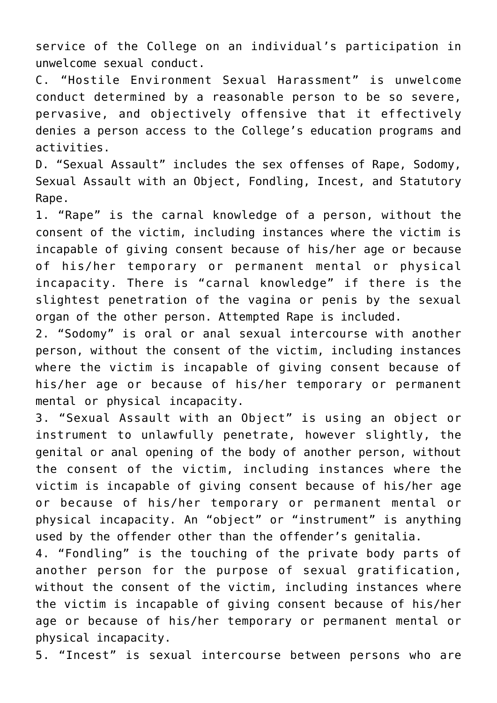service of the College on an individual's participation in unwelcome sexual conduct.

C. "Hostile Environment Sexual Harassment" is unwelcome conduct determined by a reasonable person to be so severe, pervasive, and objectively offensive that it effectively denies a person access to the College's education programs and activities.

D. "Sexual Assault" includes the sex offenses of Rape, Sodomy, Sexual Assault with an Object, Fondling, Incest, and Statutory Rape.

1. "Rape" is the carnal knowledge of a person, without the consent of the victim, including instances where the victim is incapable of giving consent because of his/her age or because of his/her temporary or permanent mental or physical incapacity. There is "carnal knowledge" if there is the slightest penetration of the vagina or penis by the sexual organ of the other person. Attempted Rape is included.

2. "Sodomy" is oral or anal sexual intercourse with another person, without the consent of the victim, including instances where the victim is incapable of giving consent because of his/her age or because of his/her temporary or permanent mental or physical incapacity.

3. "Sexual Assault with an Object" is using an object or instrument to unlawfully penetrate, however slightly, the genital or anal opening of the body of another person, without the consent of the victim, including instances where the victim is incapable of giving consent because of his/her age or because of his/her temporary or permanent mental or physical incapacity. An "object" or "instrument" is anything used by the offender other than the offender's genitalia.

4. "Fondling" is the touching of the private body parts of another person for the purpose of sexual gratification, without the consent of the victim, including instances where the victim is incapable of giving consent because of his/her age or because of his/her temporary or permanent mental or physical incapacity.

5. "Incest" is sexual intercourse between persons who are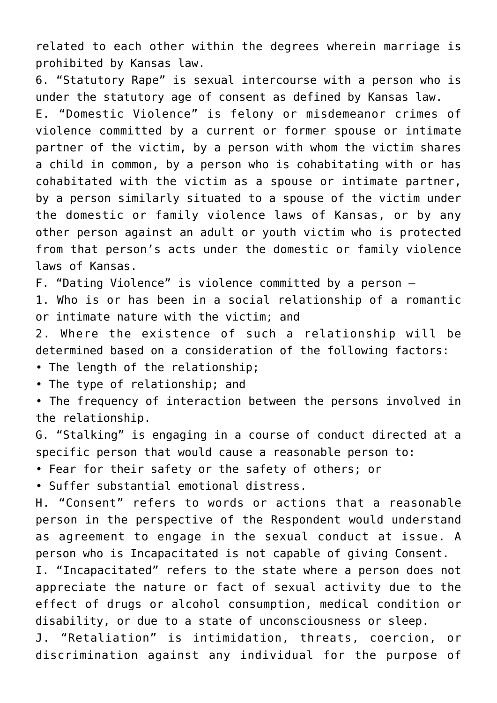related to each other within the degrees wherein marriage is prohibited by Kansas law.

6. "Statutory Rape" is sexual intercourse with a person who is under the statutory age of consent as defined by Kansas law. E. "Domestic Violence" is felony or misdemeanor crimes of violence committed by a current or former spouse or intimate partner of the victim, by a person with whom the victim shares a child in common, by a person who is cohabitating with or has cohabitated with the victim as a spouse or intimate partner, by a person similarly situated to a spouse of the victim under the domestic or family violence laws of Kansas, or by any other person against an adult or youth victim who is protected from that person's acts under the domestic or family violence laws of Kansas.

F. "Dating Violence" is violence committed by a person –

1. Who is or has been in a social relationship of a romantic or intimate nature with the victim; and

2. Where the existence of such a relationship will be determined based on a consideration of the following factors:

- The length of the relationship;
- The type of relationship; and

• The frequency of interaction between the persons involved in the relationship.

G. "Stalking" is engaging in a course of conduct directed at a specific person that would cause a reasonable person to:

• Fear for their safety or the safety of others; or

• Suffer substantial emotional distress.

H. "Consent" refers to words or actions that a reasonable person in the perspective of the Respondent would understand as agreement to engage in the sexual conduct at issue. A person who is Incapacitated is not capable of giving Consent.

I. "Incapacitated" refers to the state where a person does not appreciate the nature or fact of sexual activity due to the effect of drugs or alcohol consumption, medical condition or disability, or due to a state of unconsciousness or sleep.

J. "Retaliation" is intimidation, threats, coercion, or discrimination against any individual for the purpose of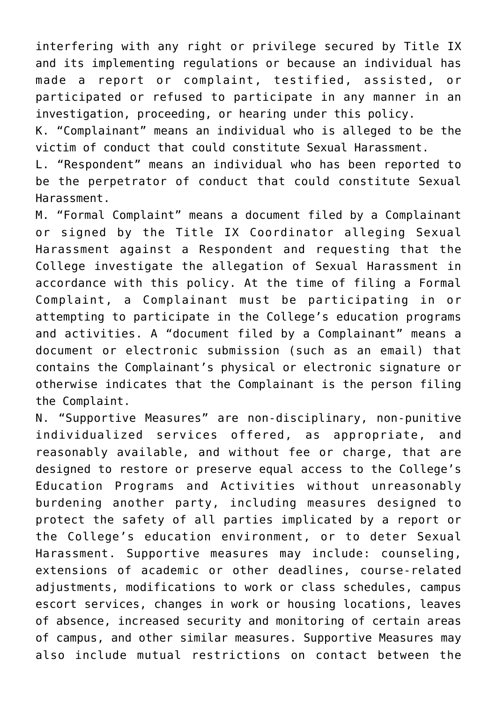interfering with any right or privilege secured by Title IX and its implementing regulations or because an individual has made a report or complaint, testified, assisted, or participated or refused to participate in any manner in an investigation, proceeding, or hearing under this policy.

K. "Complainant" means an individual who is alleged to be the victim of conduct that could constitute Sexual Harassment.

L. "Respondent" means an individual who has been reported to be the perpetrator of conduct that could constitute Sexual Harassment.

M. "Formal Complaint" means a document filed by a Complainant or signed by the Title IX Coordinator alleging Sexual Harassment against a Respondent and requesting that the College investigate the allegation of Sexual Harassment in accordance with this policy. At the time of filing a Formal Complaint, a Complainant must be participating in or attempting to participate in the College's education programs and activities. A "document filed by a Complainant" means a document or electronic submission (such as an email) that contains the Complainant's physical or electronic signature or otherwise indicates that the Complainant is the person filing the Complaint.

N. "Supportive Measures" are non-disciplinary, non-punitive individualized services offered, as appropriate, and reasonably available, and without fee or charge, that are designed to restore or preserve equal access to the College's Education Programs and Activities without unreasonably burdening another party, including measures designed to protect the safety of all parties implicated by a report or the College's education environment, or to deter Sexual Harassment. Supportive measures may include: counseling, extensions of academic or other deadlines, course-related adjustments, modifications to work or class schedules, campus escort services, changes in work or housing locations, leaves of absence, increased security and monitoring of certain areas of campus, and other similar measures. Supportive Measures may also include mutual restrictions on contact between the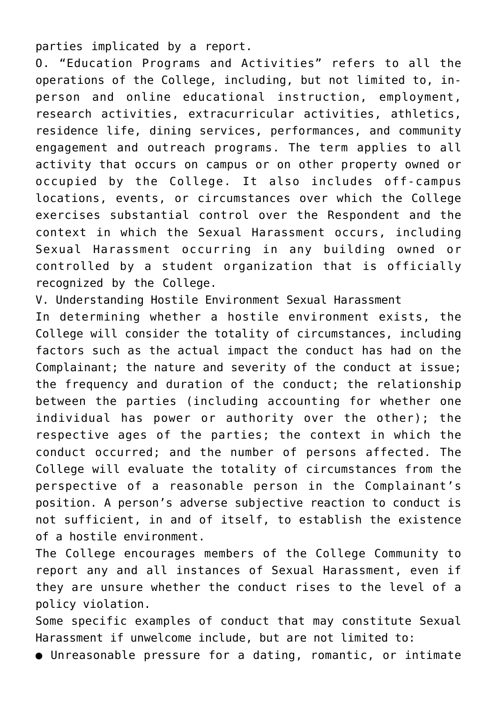parties implicated by a report.

O. "Education Programs and Activities" refers to all the operations of the College, including, but not limited to, inperson and online educational instruction, employment, research activities, extracurricular activities, athletics, residence life, dining services, performances, and community engagement and outreach programs. The term applies to all activity that occurs on campus or on other property owned or occupied by the College. It also includes off-campus locations, events, or circumstances over which the College exercises substantial control over the Respondent and the context in which the Sexual Harassment occurs, including Sexual Harassment occurring in any building owned or controlled by a student organization that is officially recognized by the College.

V. Understanding Hostile Environment Sexual Harassment

In determining whether a hostile environment exists, the College will consider the totality of circumstances, including factors such as the actual impact the conduct has had on the Complainant; the nature and severity of the conduct at issue; the frequency and duration of the conduct; the relationship between the parties (including accounting for whether one individual has power or authority over the other); the respective ages of the parties; the context in which the conduct occurred; and the number of persons affected. The College will evaluate the totality of circumstances from the perspective of a reasonable person in the Complainant's position. A person's adverse subjective reaction to conduct is not sufficient, in and of itself, to establish the existence of a hostile environment.

The College encourages members of the College Community to report any and all instances of Sexual Harassment, even if they are unsure whether the conduct rises to the level of a policy violation.

Some specific examples of conduct that may constitute Sexual Harassment if unwelcome include, but are not limited to:

● Unreasonable pressure for a dating, romantic, or intimate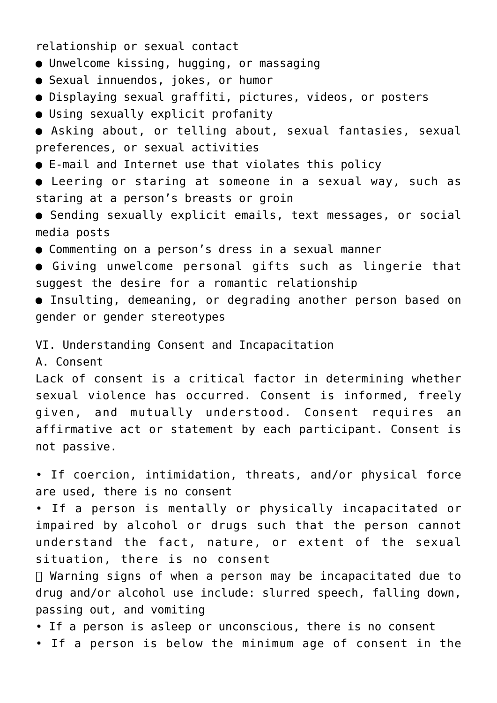relationship or sexual contact

- Unwelcome kissing, hugging, or massaging
- Sexual innuendos, jokes, or humor
- Displaying sexual graffiti, pictures, videos, or posters
- Using sexually explicit profanity
- Asking about, or telling about, sexual fantasies, sexual preferences, or sexual activities
- E-mail and Internet use that violates this policy
- Leering or staring at someone in a sexual way, such as staring at a person's breasts or groin
- Sending sexually explicit emails, text messages, or social media posts
- Commenting on a person's dress in a sexual manner
- Giving unwelcome personal gifts such as lingerie that suggest the desire for a romantic relationship
- Insulting, demeaning, or degrading another person based on gender or gender stereotypes

VI. Understanding Consent and Incapacitation

A. Consent

Lack of consent is a critical factor in determining whether sexual violence has occurred. Consent is informed, freely given, and mutually understood. Consent requires an affirmative act or statement by each participant. Consent is not passive.

• If coercion, intimidation, threats, and/or physical force are used, there is no consent

• If a person is mentally or physically incapacitated or impaired by alcohol or drugs such that the person cannot understand the fact, nature, or extent of the sexual situation, there is no consent

 Warning signs of when a person may be incapacitated due to drug and/or alcohol use include: slurred speech, falling down, passing out, and vomiting

- If a person is asleep or unconscious, there is no consent
- If a person is below the minimum age of consent in the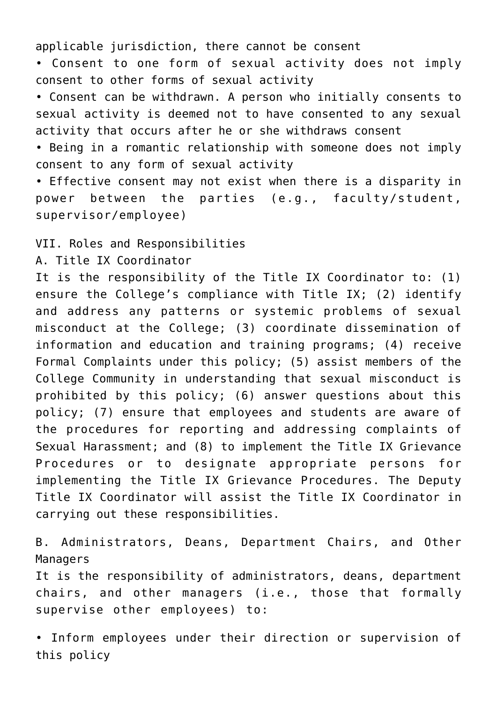applicable jurisdiction, there cannot be consent

• Consent to one form of sexual activity does not imply consent to other forms of sexual activity

• Consent can be withdrawn. A person who initially consents to sexual activity is deemed not to have consented to any sexual activity that occurs after he or she withdraws consent

• Being in a romantic relationship with someone does not imply consent to any form of sexual activity

• Effective consent may not exist when there is a disparity in power between the parties (e.g., faculty/student, supervisor/employee)

VII. Roles and Responsibilities

A. Title IX Coordinator

It is the responsibility of the Title IX Coordinator to: (1) ensure the College's compliance with Title IX; (2) identify and address any patterns or systemic problems of sexual misconduct at the College; (3) coordinate dissemination of information and education and training programs; (4) receive Formal Complaints under this policy; (5) assist members of the College Community in understanding that sexual misconduct is prohibited by this policy; (6) answer questions about this policy; (7) ensure that employees and students are aware of the procedures for reporting and addressing complaints of Sexual Harassment; and (8) to implement the Title IX Grievance Procedures or to designate appropriate persons for implementing the Title IX Grievance Procedures. The Deputy Title IX Coordinator will assist the Title IX Coordinator in carrying out these responsibilities.

B. Administrators, Deans, Department Chairs, and Other Managers

It is the responsibility of administrators, deans, department chairs, and other managers (i.e., those that formally supervise other employees) to:

• Inform employees under their direction or supervision of this policy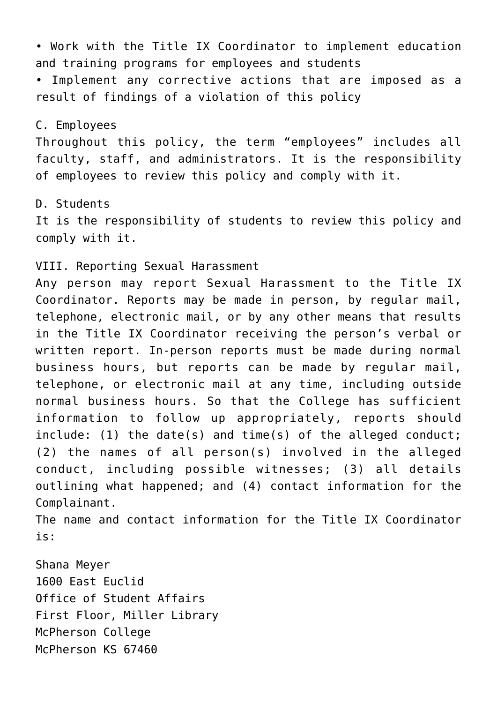• Work with the Title IX Coordinator to implement education and training programs for employees and students

• Implement any corrective actions that are imposed as a result of findings of a violation of this policy

### C. Employees

Throughout this policy, the term "employees" includes all faculty, staff, and administrators. It is the responsibility of employees to review this policy and comply with it.

#### D. Students

It is the responsibility of students to review this policy and comply with it.

VIII. Reporting Sexual Harassment

Any person may report Sexual Harassment to the Title IX Coordinator. Reports may be made in person, by regular mail, telephone, electronic mail, or by any other means that results in the Title IX Coordinator receiving the person's verbal or written report. In-person reports must be made during normal business hours, but reports can be made by regular mail, telephone, or electronic mail at any time, including outside normal business hours. So that the College has sufficient information to follow up appropriately, reports should include: (1) the date(s) and time(s) of the alleged conduct; (2) the names of all person(s) involved in the alleged conduct, including possible witnesses; (3) all details outlining what happened; and (4) contact information for the Complainant.

The name and contact information for the Title IX Coordinator is:

Shana Meyer 1600 East Euclid Office of Student Affairs First Floor, Miller Library McPherson College McPherson KS 67460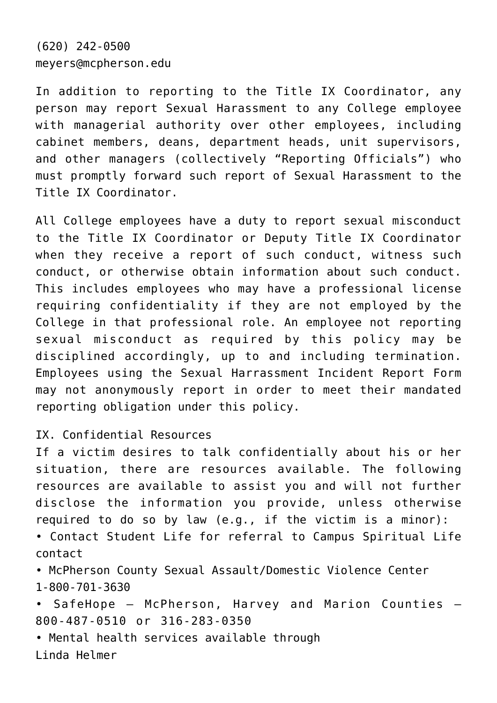(620) 242-0500 meyers@mcpherson.edu

In addition to reporting to the Title IX Coordinator, any person may report Sexual Harassment to any College employee with managerial authority over other employees, including cabinet members, deans, department heads, unit supervisors, and other managers (collectively "Reporting Officials") who must promptly forward such report of Sexual Harassment to the Title IX Coordinator.

All College employees have a duty to report sexual misconduct to the Title IX Coordinator or Deputy Title IX Coordinator when they receive a report of such conduct, witness such conduct, or otherwise obtain information about such conduct. This includes employees who may have a professional license requiring confidentiality if they are not employed by the College in that professional role. An employee not reporting sexual misconduct as required by this policy may be disciplined accordingly, up to and including termination. Employees using the Sexual Harrassment Incident Report Form may not anonymously report in order to meet their mandated reporting obligation under this policy.

IX. Confidential Resources

If a victim desires to talk confidentially about his or her situation, there are resources available. The following resources are available to assist you and will not further disclose the information you provide, unless otherwise required to do so by law (e.g., if the victim is a minor): • Contact Student Life for referral to Campus Spiritual Life contact

• McPherson County Sexual Assault/Domestic Violence Center 1-800-701-3630

• SafeHope – McPherson, Harvey and Marion Counties – 800-487-0510 or 316-283-0350

• Mental health services available through Linda Helmer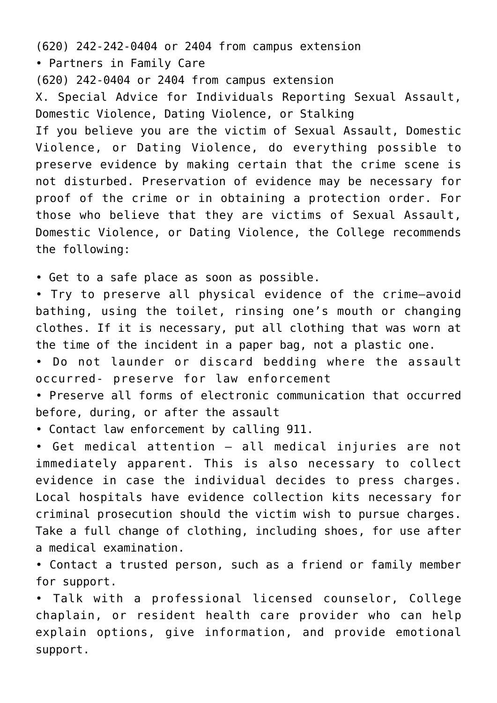(620) 242-242-0404 or 2404 from campus extension • Partners in Family Care (620) 242-0404 or 2404 from campus extension X. Special Advice for Individuals Reporting Sexual Assault, Domestic Violence, Dating Violence, or Stalking If you believe you are the victim of Sexual Assault, Domestic Violence, or Dating Violence, do everything possible to preserve evidence by making certain that the crime scene is not disturbed. Preservation of evidence may be necessary for proof of the crime or in obtaining a protection order. For those who believe that they are victims of Sexual Assault, Domestic Violence, or Dating Violence, the College recommends the following:

• Get to a safe place as soon as possible.

• Try to preserve all physical evidence of the crime—avoid bathing, using the toilet, rinsing one's mouth or changing clothes. If it is necessary, put all clothing that was worn at the time of the incident in a paper bag, not a plastic one.

• Do not launder or discard bedding where the assault occurred- preserve for law enforcement

• Preserve all forms of electronic communication that occurred before, during, or after the assault

• Contact law enforcement by calling 911.

• Get medical attention – all medical injuries are not immediately apparent. This is also necessary to collect evidence in case the individual decides to press charges. Local hospitals have evidence collection kits necessary for criminal prosecution should the victim wish to pursue charges. Take a full change of clothing, including shoes, for use after a medical examination.

• Contact a trusted person, such as a friend or family member for support.

• Talk with a professional licensed counselor, College chaplain, or resident health care provider who can help explain options, give information, and provide emotional support.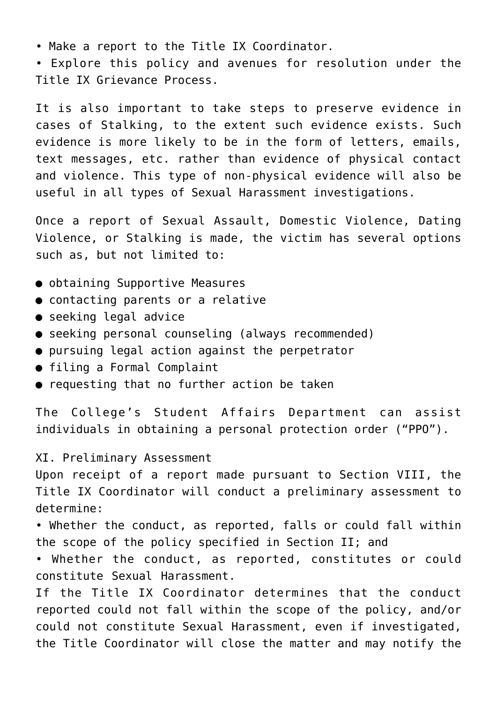• Make a report to the Title IX Coordinator.

• Explore this policy and avenues for resolution under the Title IX Grievance Process.

It is also important to take steps to preserve evidence in cases of Stalking, to the extent such evidence exists. Such evidence is more likely to be in the form of letters, emails, text messages, etc. rather than evidence of physical contact and violence. This type of non-physical evidence will also be useful in all types of Sexual Harassment investigations.

Once a report of Sexual Assault, Domestic Violence, Dating Violence, or Stalking is made, the victim has several options such as, but not limited to:

- obtaining Supportive Measures
- contacting parents or a relative
- seeking legal advice
- seeking personal counseling (always recommended)
- pursuing legal action against the perpetrator
- filing a Formal Complaint
- requesting that no further action be taken

The College's Student Affairs Department can assist individuals in obtaining a personal protection order ("PPO").

XI. Preliminary Assessment

Upon receipt of a report made pursuant to Section VIII, the Title IX Coordinator will conduct a preliminary assessment to determine:

• Whether the conduct, as reported, falls or could fall within the scope of the policy specified in Section II; and

• Whether the conduct, as reported, constitutes or could constitute Sexual Harassment.

If the Title IX Coordinator determines that the conduct reported could not fall within the scope of the policy, and/or could not constitute Sexual Harassment, even if investigated, the Title Coordinator will close the matter and may notify the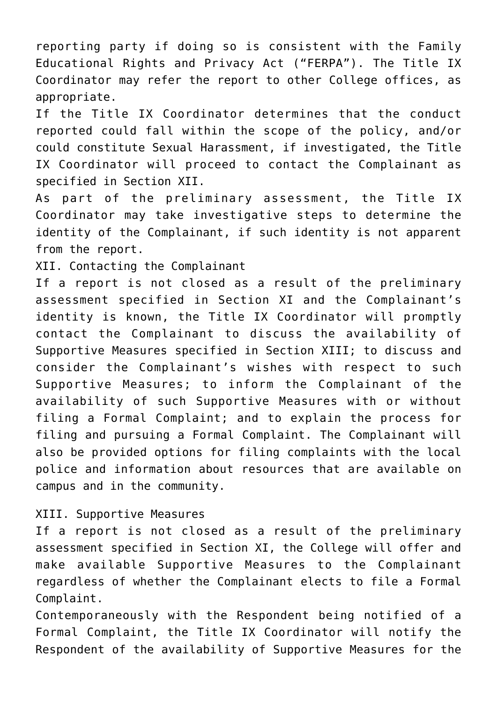reporting party if doing so is consistent with the Family Educational Rights and Privacy Act ("FERPA"). The Title IX Coordinator may refer the report to other College offices, as appropriate.

If the Title IX Coordinator determines that the conduct reported could fall within the scope of the policy, and/or could constitute Sexual Harassment, if investigated, the Title IX Coordinator will proceed to contact the Complainant as specified in Section XII.

As part of the preliminary assessment, the Title IX Coordinator may take investigative steps to determine the identity of the Complainant, if such identity is not apparent from the report.

XII. Contacting the Complainant

If a report is not closed as a result of the preliminary assessment specified in Section XI and the Complainant's identity is known, the Title IX Coordinator will promptly contact the Complainant to discuss the availability of Supportive Measures specified in Section XIII; to discuss and consider the Complainant's wishes with respect to such Supportive Measures; to inform the Complainant of the availability of such Supportive Measures with or without filing a Formal Complaint; and to explain the process for filing and pursuing a Formal Complaint. The Complainant will also be provided options for filing complaints with the local police and information about resources that are available on campus and in the community.

# XIII. Supportive Measures

If a report is not closed as a result of the preliminary assessment specified in Section XI, the College will offer and make available Supportive Measures to the Complainant regardless of whether the Complainant elects to file a Formal Complaint.

Contemporaneously with the Respondent being notified of a Formal Complaint, the Title IX Coordinator will notify the Respondent of the availability of Supportive Measures for the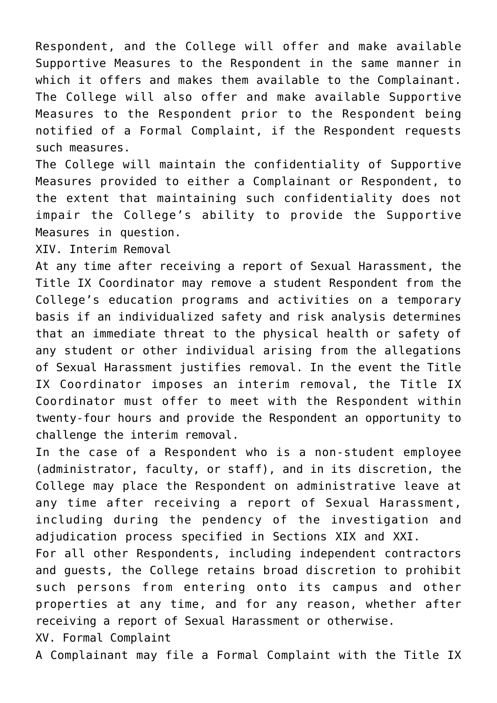Respondent, and the College will offer and make available Supportive Measures to the Respondent in the same manner in which it offers and makes them available to the Complainant. The College will also offer and make available Supportive Measures to the Respondent prior to the Respondent being notified of a Formal Complaint, if the Respondent requests such measures.

The College will maintain the confidentiality of Supportive Measures provided to either a Complainant or Respondent, to the extent that maintaining such confidentiality does not impair the College's ability to provide the Supportive Measures in question.

XIV. Interim Removal

At any time after receiving a report of Sexual Harassment, the Title IX Coordinator may remove a student Respondent from the College's education programs and activities on a temporary basis if an individualized safety and risk analysis determines that an immediate threat to the physical health or safety of any student or other individual arising from the allegations of Sexual Harassment justifies removal. In the event the Title IX Coordinator imposes an interim removal, the Title IX Coordinator must offer to meet with the Respondent within twenty-four hours and provide the Respondent an opportunity to challenge the interim removal.

In the case of a Respondent who is a non-student employee (administrator, faculty, or staff), and in its discretion, the College may place the Respondent on administrative leave at any time after receiving a report of Sexual Harassment, including during the pendency of the investigation and adjudication process specified in Sections XIX and XXI.

For all other Respondents, including independent contractors and guests, the College retains broad discretion to prohibit such persons from entering onto its campus and other properties at any time, and for any reason, whether after receiving a report of Sexual Harassment or otherwise.

XV. Formal Complaint

A Complainant may file a Formal Complaint with the Title IX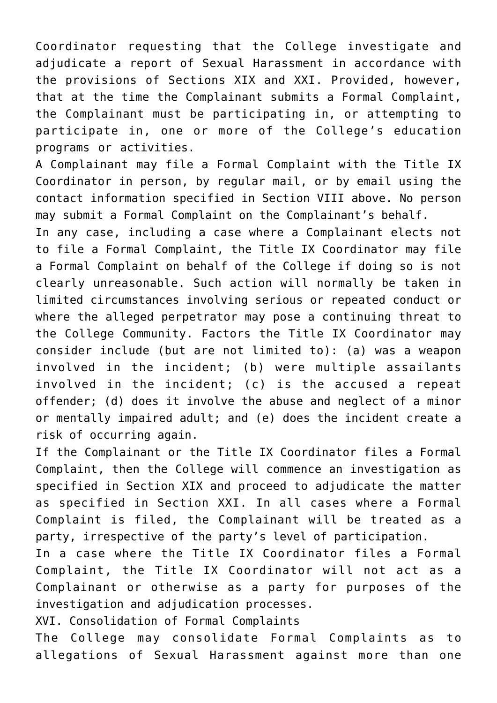Coordinator requesting that the College investigate and adjudicate a report of Sexual Harassment in accordance with the provisions of Sections XIX and XXI. Provided, however, that at the time the Complainant submits a Formal Complaint, the Complainant must be participating in, or attempting to participate in, one or more of the College's education programs or activities.

A Complainant may file a Formal Complaint with the Title IX Coordinator in person, by regular mail, or by email using the contact information specified in Section VIII above. No person may submit a Formal Complaint on the Complainant's behalf.

In any case, including a case where a Complainant elects not to file a Formal Complaint, the Title IX Coordinator may file a Formal Complaint on behalf of the College if doing so is not clearly unreasonable. Such action will normally be taken in limited circumstances involving serious or repeated conduct or where the alleged perpetrator may pose a continuing threat to the College Community. Factors the Title IX Coordinator may consider include (but are not limited to): (a) was a weapon involved in the incident; (b) were multiple assailants involved in the incident; (c) is the accused a repeat offender; (d) does it involve the abuse and neglect of a minor or mentally impaired adult; and (e) does the incident create a risk of occurring again.

If the Complainant or the Title IX Coordinator files a Formal Complaint, then the College will commence an investigation as specified in Section XIX and proceed to adjudicate the matter as specified in Section XXI. In all cases where a Formal Complaint is filed, the Complainant will be treated as a party, irrespective of the party's level of participation.

In a case where the Title IX Coordinator files a Formal Complaint, the Title IX Coordinator will not act as a Complainant or otherwise as a party for purposes of the investigation and adjudication processes.

XVI. Consolidation of Formal Complaints

The College may consolidate Formal Complaints as to allegations of Sexual Harassment against more than one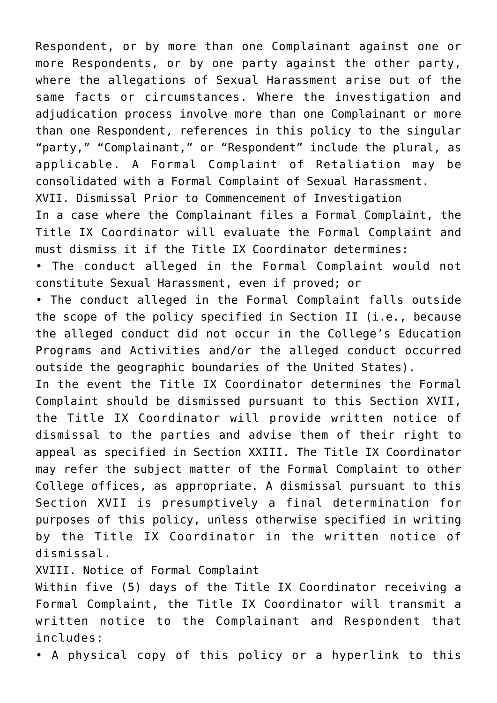Respondent, or by more than one Complainant against one or more Respondents, or by one party against the other party, where the allegations of Sexual Harassment arise out of the same facts or circumstances. Where the investigation and adjudication process involve more than one Complainant or more than one Respondent, references in this policy to the singular "party," "Complainant," or "Respondent" include the plural, as applicable. A Formal Complaint of Retaliation may be consolidated with a Formal Complaint of Sexual Harassment.

XVII. Dismissal Prior to Commencement of Investigation

In a case where the Complainant files a Formal Complaint, the Title IX Coordinator will evaluate the Formal Complaint and must dismiss it if the Title IX Coordinator determines:

• The conduct alleged in the Formal Complaint would not constitute Sexual Harassment, even if proved; or

• The conduct alleged in the Formal Complaint falls outside the scope of the policy specified in Section II (i.e., because the alleged conduct did not occur in the College's Education Programs and Activities and/or the alleged conduct occurred outside the geographic boundaries of the United States).

In the event the Title IX Coordinator determines the Formal Complaint should be dismissed pursuant to this Section XVII, the Title IX Coordinator will provide written notice of dismissal to the parties and advise them of their right to appeal as specified in Section XXIII. The Title IX Coordinator may refer the subject matter of the Formal Complaint to other College offices, as appropriate. A dismissal pursuant to this Section XVII is presumptively a final determination for purposes of this policy, unless otherwise specified in writing by the Title IX Coordinator in the written notice of dismissal.

XVIII. Notice of Formal Complaint

Within five (5) days of the Title IX Coordinator receiving a Formal Complaint, the Title IX Coordinator will transmit a written notice to the Complainant and Respondent that includes:

• A physical copy of this policy or a hyperlink to this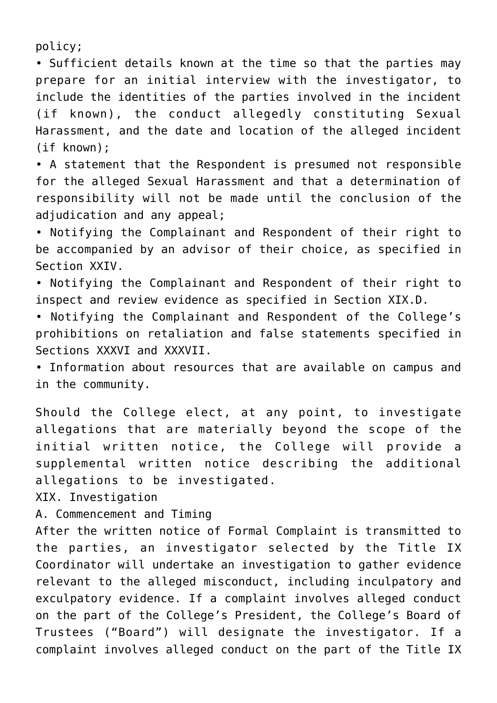policy;

• Sufficient details known at the time so that the parties may prepare for an initial interview with the investigator, to include the identities of the parties involved in the incident (if known), the conduct allegedly constituting Sexual Harassment, and the date and location of the alleged incident (if known);

• A statement that the Respondent is presumed not responsible for the alleged Sexual Harassment and that a determination of responsibility will not be made until the conclusion of the adjudication and any appeal;

• Notifying the Complainant and Respondent of their right to be accompanied by an advisor of their choice, as specified in Section XXIV.

• Notifying the Complainant and Respondent of their right to inspect and review evidence as specified in Section XIX.D.

• Notifying the Complainant and Respondent of the College's prohibitions on retaliation and false statements specified in Sections XXXVI and XXXVII.

• Information about resources that are available on campus and in the community.

Should the College elect, at any point, to investigate allegations that are materially beyond the scope of the initial written notice, the College will provide a supplemental written notice describing the additional allegations to be investigated.

XIX. Investigation

A. Commencement and Timing

After the written notice of Formal Complaint is transmitted to the parties, an investigator selected by the Title IX Coordinator will undertake an investigation to gather evidence relevant to the alleged misconduct, including inculpatory and exculpatory evidence. If a complaint involves alleged conduct on the part of the College's President, the College's Board of Trustees ("Board") will designate the investigator. If a complaint involves alleged conduct on the part of the Title IX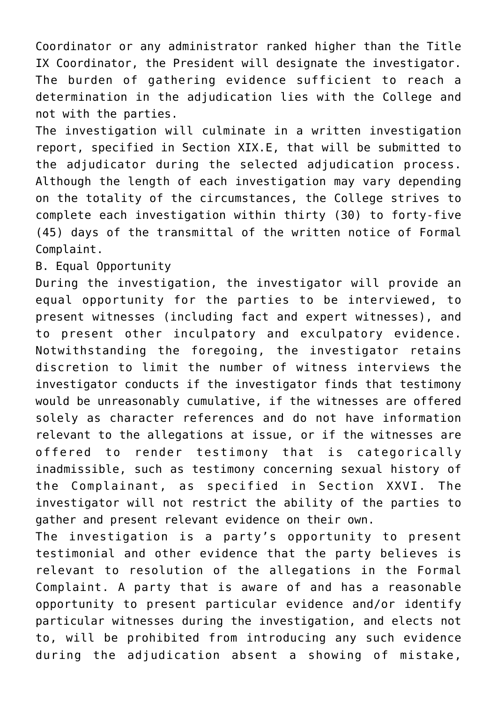Coordinator or any administrator ranked higher than the Title IX Coordinator, the President will designate the investigator. The burden of gathering evidence sufficient to reach a determination in the adjudication lies with the College and not with the parties.

The investigation will culminate in a written investigation report, specified in Section XIX.E, that will be submitted to the adjudicator during the selected adjudication process. Although the length of each investigation may vary depending on the totality of the circumstances, the College strives to complete each investigation within thirty (30) to forty-five (45) days of the transmittal of the written notice of Formal Complaint.

B. Equal Opportunity

During the investigation, the investigator will provide an equal opportunity for the parties to be interviewed, to present witnesses (including fact and expert witnesses), and to present other inculpatory and exculpatory evidence. Notwithstanding the foregoing, the investigator retains discretion to limit the number of witness interviews the investigator conducts if the investigator finds that testimony would be unreasonably cumulative, if the witnesses are offered solely as character references and do not have information relevant to the allegations at issue, or if the witnesses are offered to render testimony that is categorically inadmissible, such as testimony concerning sexual history of the Complainant, as specified in Section XXVI. The investigator will not restrict the ability of the parties to gather and present relevant evidence on their own.

The investigation is a party's opportunity to present testimonial and other evidence that the party believes is relevant to resolution of the allegations in the Formal Complaint. A party that is aware of and has a reasonable opportunity to present particular evidence and/or identify particular witnesses during the investigation, and elects not to, will be prohibited from introducing any such evidence during the adjudication absent a showing of mistake,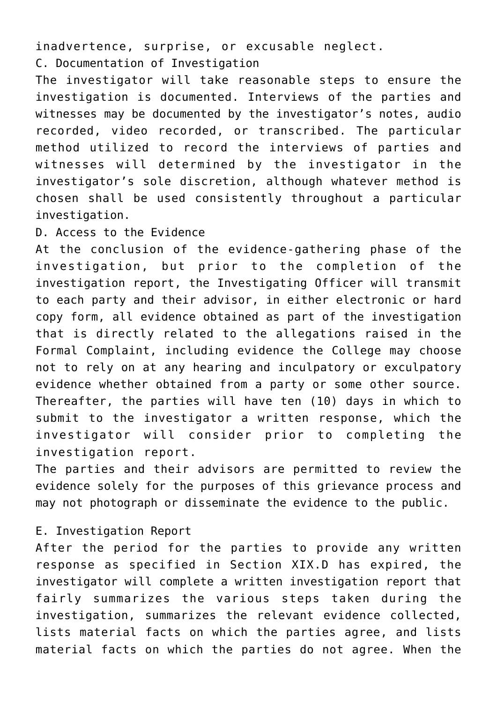inadvertence, surprise, or excusable neglect. C. Documentation of Investigation

The investigator will take reasonable steps to ensure the investigation is documented. Interviews of the parties and witnesses may be documented by the investigator's notes, audio recorded, video recorded, or transcribed. The particular method utilized to record the interviews of parties and witnesses will determined by the investigator in the investigator's sole discretion, although whatever method is chosen shall be used consistently throughout a particular investigation.

D. Access to the Evidence

At the conclusion of the evidence-gathering phase of the investigation, but prior to the completion of the investigation report, the Investigating Officer will transmit to each party and their advisor, in either electronic or hard copy form, all evidence obtained as part of the investigation that is directly related to the allegations raised in the Formal Complaint, including evidence the College may choose not to rely on at any hearing and inculpatory or exculpatory evidence whether obtained from a party or some other source. Thereafter, the parties will have ten (10) days in which to submit to the investigator a written response, which the investigator will consider prior to completing the investigation report.

The parties and their advisors are permitted to review the evidence solely for the purposes of this grievance process and may not photograph or disseminate the evidence to the public.

# E. Investigation Report

After the period for the parties to provide any written response as specified in Section XIX.D has expired, the investigator will complete a written investigation report that fairly summarizes the various steps taken during the investigation, summarizes the relevant evidence collected, lists material facts on which the parties agree, and lists material facts on which the parties do not agree. When the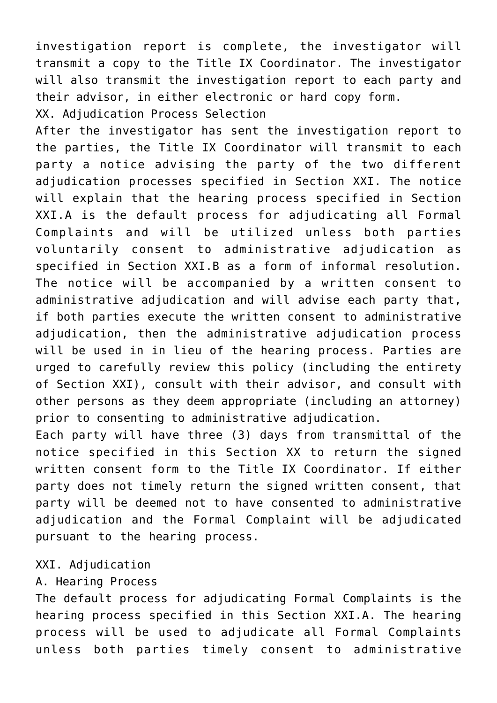investigation report is complete, the investigator will transmit a copy to the Title IX Coordinator. The investigator will also transmit the investigation report to each party and their advisor, in either electronic or hard copy form.

XX. Adjudication Process Selection

After the investigator has sent the investigation report to the parties, the Title IX Coordinator will transmit to each party a notice advising the party of the two different adjudication processes specified in Section XXI. The notice will explain that the hearing process specified in Section XXI.A is the default process for adjudicating all Formal Complaints and will be utilized unless both parties voluntarily consent to administrative adjudication as specified in Section XXI.B as a form of informal resolution. The notice will be accompanied by a written consent to administrative adjudication and will advise each party that, if both parties execute the written consent to administrative adjudication, then the administrative adjudication process will be used in in lieu of the hearing process. Parties are urged to carefully review this policy (including the entirety of Section XXI), consult with their advisor, and consult with other persons as they deem appropriate (including an attorney) prior to consenting to administrative adjudication.

Each party will have three (3) days from transmittal of the notice specified in this Section XX to return the signed written consent form to the Title IX Coordinator. If either party does not timely return the signed written consent, that party will be deemed not to have consented to administrative adjudication and the Formal Complaint will be adjudicated pursuant to the hearing process.

XXI. Adjudication

# A. Hearing Process

The default process for adjudicating Formal Complaints is the hearing process specified in this Section XXI.A. The hearing process will be used to adjudicate all Formal Complaints unless both parties timely consent to administrative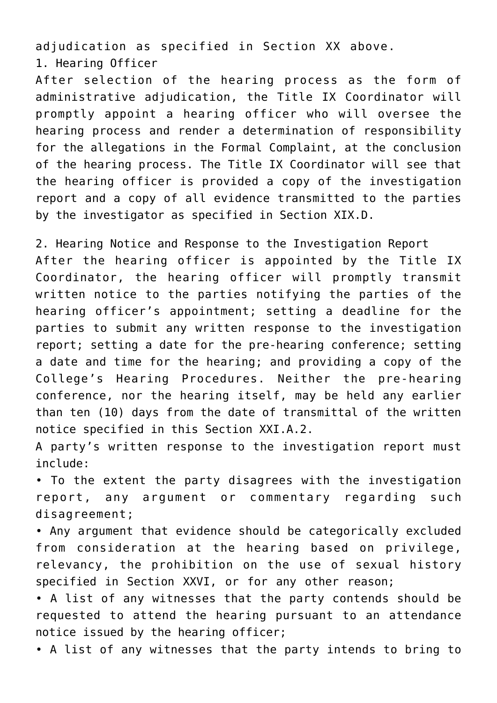adjudication as specified in Section XX above. 1. Hearing Officer

After selection of the hearing process as the form of administrative adjudication, the Title IX Coordinator will promptly appoint a hearing officer who will oversee the hearing process and render a determination of responsibility for the allegations in the Formal Complaint, at the conclusion of the hearing process. The Title IX Coordinator will see that the hearing officer is provided a copy of the investigation report and a copy of all evidence transmitted to the parties by the investigator as specified in Section XIX.D.

2. Hearing Notice and Response to the Investigation Report After the hearing officer is appointed by the Title IX Coordinator, the hearing officer will promptly transmit written notice to the parties notifying the parties of the hearing officer's appointment; setting a deadline for the parties to submit any written response to the investigation report; setting a date for the pre-hearing conference; setting a date and time for the hearing; and providing a copy of the College's Hearing Procedures. Neither the pre-hearing conference, nor the hearing itself, may be held any earlier than ten (10) days from the date of transmittal of the written notice specified in this Section XXI.A.2.

A party's written response to the investigation report must include:

• To the extent the party disagrees with the investigation report, any argument or commentary regarding such disagreement;

• Any argument that evidence should be categorically excluded from consideration at the hearing based on privilege, relevancy, the prohibition on the use of sexual history specified in Section XXVI, or for any other reason;

• A list of any witnesses that the party contends should be requested to attend the hearing pursuant to an attendance notice issued by the hearing officer;

• A list of any witnesses that the party intends to bring to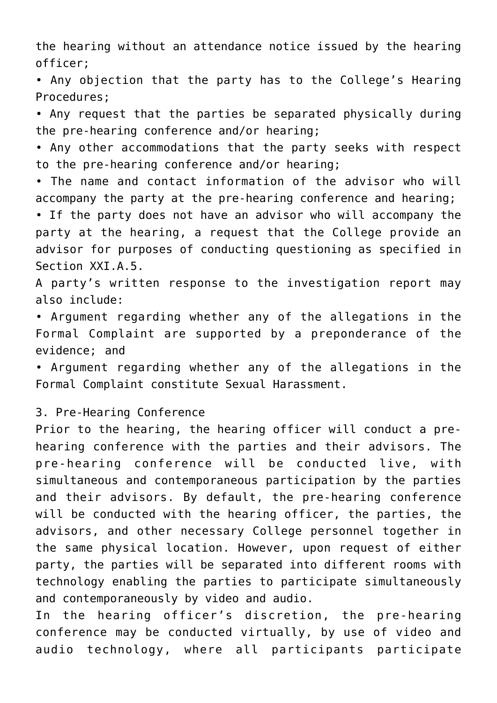the hearing without an attendance notice issued by the hearing officer;

• Any objection that the party has to the College's Hearing Procedures;

• Any request that the parties be separated physically during the pre-hearing conference and/or hearing;

• Any other accommodations that the party seeks with respect to the pre-hearing conference and/or hearing;

• The name and contact information of the advisor who will accompany the party at the pre-hearing conference and hearing;

• If the party does not have an advisor who will accompany the party at the hearing, a request that the College provide an advisor for purposes of conducting questioning as specified in Section XXI.A.5.

A party's written response to the investigation report may also include:

• Argument regarding whether any of the allegations in the Formal Complaint are supported by a preponderance of the evidence; and

• Argument regarding whether any of the allegations in the Formal Complaint constitute Sexual Harassment.

3. Pre-Hearing Conference

Prior to the hearing, the hearing officer will conduct a prehearing conference with the parties and their advisors. The pre-hearing conference will be conducted live, with simultaneous and contemporaneous participation by the parties and their advisors. By default, the pre-hearing conference will be conducted with the hearing officer, the parties, the advisors, and other necessary College personnel together in the same physical location. However, upon request of either party, the parties will be separated into different rooms with technology enabling the parties to participate simultaneously and contemporaneously by video and audio.

In the hearing officer's discretion, the pre-hearing conference may be conducted virtually, by use of video and audio technology, where all participants participate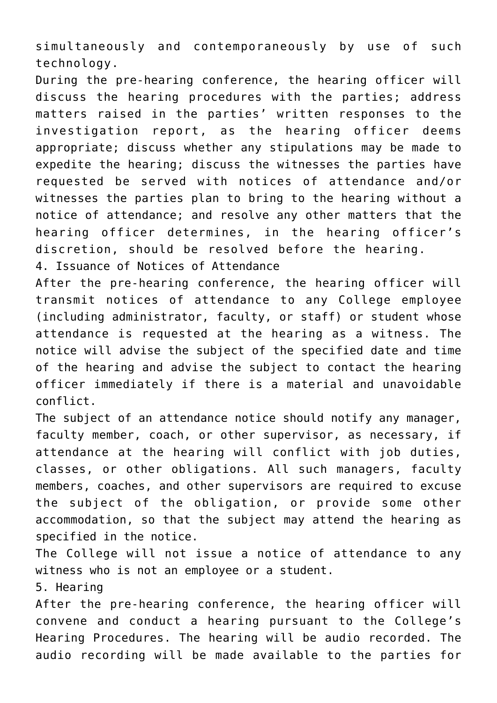simultaneously and contemporaneously by use of such technology.

During the pre-hearing conference, the hearing officer will discuss the hearing procedures with the parties; address matters raised in the parties' written responses to the investigation report, as the hearing officer deems appropriate; discuss whether any stipulations may be made to expedite the hearing; discuss the witnesses the parties have requested be served with notices of attendance and/or witnesses the parties plan to bring to the hearing without a notice of attendance; and resolve any other matters that the hearing officer determines, in the hearing officer's discretion, should be resolved before the hearing.

4. Issuance of Notices of Attendance

After the pre-hearing conference, the hearing officer will transmit notices of attendance to any College employee (including administrator, faculty, or staff) or student whose attendance is requested at the hearing as a witness. The notice will advise the subject of the specified date and time of the hearing and advise the subject to contact the hearing officer immediately if there is a material and unavoidable conflict.

The subject of an attendance notice should notify any manager, faculty member, coach, or other supervisor, as necessary, if attendance at the hearing will conflict with job duties, classes, or other obligations. All such managers, faculty members, coaches, and other supervisors are required to excuse the subject of the obligation, or provide some other accommodation, so that the subject may attend the hearing as specified in the notice.

The College will not issue a notice of attendance to any witness who is not an employee or a student.

5. Hearing

After the pre-hearing conference, the hearing officer will convene and conduct a hearing pursuant to the College's Hearing Procedures. The hearing will be audio recorded. The audio recording will be made available to the parties for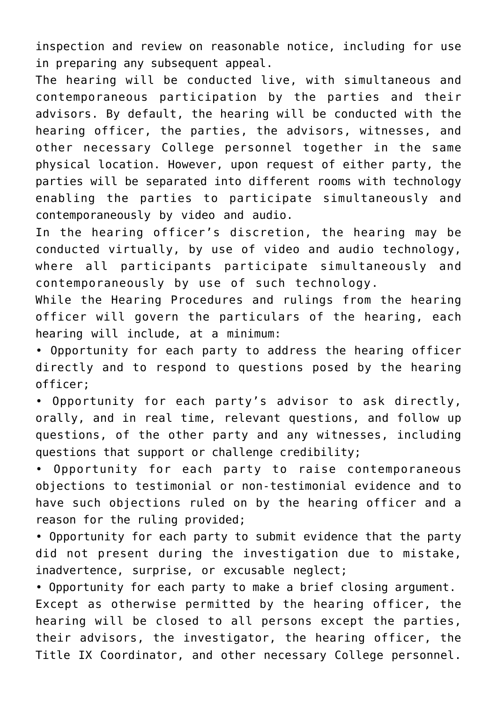inspection and review on reasonable notice, including for use in preparing any subsequent appeal.

The hearing will be conducted live, with simultaneous and contemporaneous participation by the parties and their advisors. By default, the hearing will be conducted with the hearing officer, the parties, the advisors, witnesses, and other necessary College personnel together in the same physical location. However, upon request of either party, the parties will be separated into different rooms with technology enabling the parties to participate simultaneously and contemporaneously by video and audio.

In the hearing officer's discretion, the hearing may be conducted virtually, by use of video and audio technology, where all participants participate simultaneously and contemporaneously by use of such technology.

While the Hearing Procedures and rulings from the hearing officer will govern the particulars of the hearing, each hearing will include, at a minimum:

• Opportunity for each party to address the hearing officer directly and to respond to questions posed by the hearing officer;

• Opportunity for each party's advisor to ask directly, orally, and in real time, relevant questions, and follow up questions, of the other party and any witnesses, including questions that support or challenge credibility;

• Opportunity for each party to raise contemporaneous objections to testimonial or non-testimonial evidence and to have such objections ruled on by the hearing officer and a reason for the ruling provided;

• Opportunity for each party to submit evidence that the party did not present during the investigation due to mistake, inadvertence, surprise, or excusable neglect;

• Opportunity for each party to make a brief closing argument. Except as otherwise permitted by the hearing officer, the hearing will be closed to all persons except the parties, their advisors, the investigator, the hearing officer, the Title IX Coordinator, and other necessary College personnel.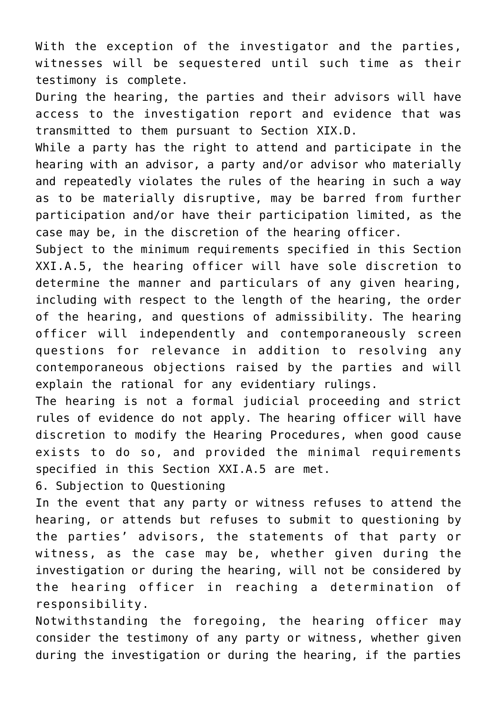With the exception of the investigator and the parties, witnesses will be sequestered until such time as their testimony is complete.

During the hearing, the parties and their advisors will have access to the investigation report and evidence that was transmitted to them pursuant to Section XIX.D.

While a party has the right to attend and participate in the hearing with an advisor, a party and/or advisor who materially and repeatedly violates the rules of the hearing in such a way as to be materially disruptive, may be barred from further participation and/or have their participation limited, as the case may be, in the discretion of the hearing officer.

Subject to the minimum requirements specified in this Section XXI.A.5, the hearing officer will have sole discretion to determine the manner and particulars of any given hearing, including with respect to the length of the hearing, the order of the hearing, and questions of admissibility. The hearing officer will independently and contemporaneously screen questions for relevance in addition to resolving any contemporaneous objections raised by the parties and will explain the rational for any evidentiary rulings.

The hearing is not a formal judicial proceeding and strict rules of evidence do not apply. The hearing officer will have discretion to modify the Hearing Procedures, when good cause exists to do so, and provided the minimal requirements specified in this Section XXI.A.5 are met.

6. Subjection to Questioning

In the event that any party or witness refuses to attend the hearing, or attends but refuses to submit to questioning by the parties' advisors, the statements of that party or witness, as the case may be, whether given during the investigation or during the hearing, will not be considered by the hearing officer in reaching a determination of responsibility.

Notwithstanding the foregoing, the hearing officer may consider the testimony of any party or witness, whether given during the investigation or during the hearing, if the parties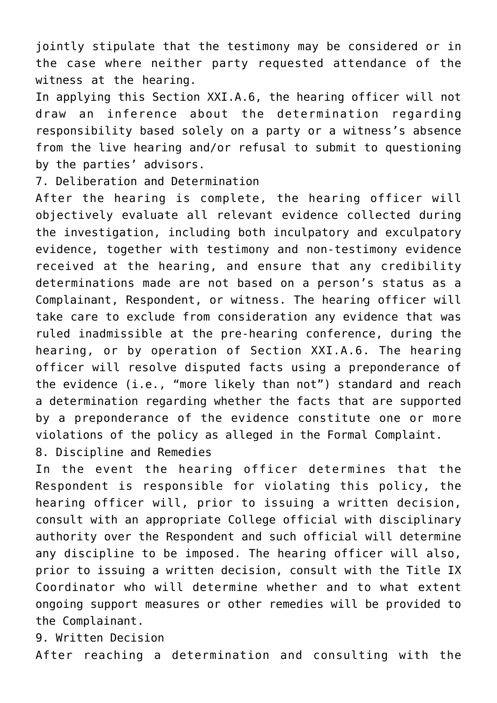jointly stipulate that the testimony may be considered or in the case where neither party requested attendance of the witness at the hearing.

In applying this Section XXI.A.6, the hearing officer will not draw an inference about the determination regarding responsibility based solely on a party or a witness's absence from the live hearing and/or refusal to submit to questioning by the parties' advisors.

7. Deliberation and Determination

After the hearing is complete, the hearing officer will objectively evaluate all relevant evidence collected during the investigation, including both inculpatory and exculpatory evidence, together with testimony and non-testimony evidence received at the hearing, and ensure that any credibility determinations made are not based on a person's status as a Complainant, Respondent, or witness. The hearing officer will take care to exclude from consideration any evidence that was ruled inadmissible at the pre-hearing conference, during the hearing, or by operation of Section XXI.A.6. The hearing officer will resolve disputed facts using a preponderance of the evidence (i.e., "more likely than not") standard and reach a determination regarding whether the facts that are supported by a preponderance of the evidence constitute one or more violations of the policy as alleged in the Formal Complaint.

8. Discipline and Remedies

In the event the hearing officer determines that the Respondent is responsible for violating this policy, the hearing officer will, prior to issuing a written decision, consult with an appropriate College official with disciplinary authority over the Respondent and such official will determine any discipline to be imposed. The hearing officer will also, prior to issuing a written decision, consult with the Title IX Coordinator who will determine whether and to what extent ongoing support measures or other remedies will be provided to the Complainant.

9. Written Decision After reaching a determination and consulting with the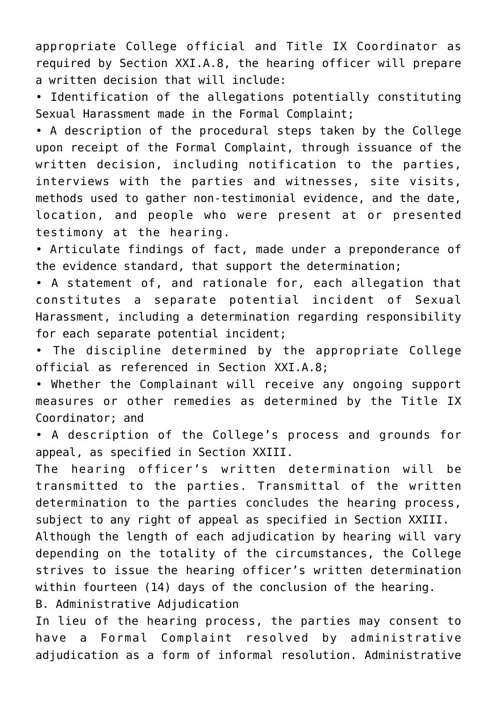appropriate College official and Title IX Coordinator as required by Section XXI.A.8, the hearing officer will prepare a written decision that will include:

• Identification of the allegations potentially constituting Sexual Harassment made in the Formal Complaint;

• A description of the procedural steps taken by the College upon receipt of the Formal Complaint, through issuance of the written decision, including notification to the parties, interviews with the parties and witnesses, site visits, methods used to gather non-testimonial evidence, and the date, location, and people who were present at or presented testimony at the hearing.

• Articulate findings of fact, made under a preponderance of the evidence standard, that support the determination;

• A statement of, and rationale for, each allegation that constitutes a separate potential incident of Sexual Harassment, including a determination regarding responsibility for each separate potential incident;

• The discipline determined by the appropriate College official as referenced in Section XXI.A.8;

• Whether the Complainant will receive any ongoing support measures or other remedies as determined by the Title IX Coordinator; and

• A description of the College's process and grounds for appeal, as specified in Section XXIII.

The hearing officer's written determination will be transmitted to the parties. Transmittal of the written determination to the parties concludes the hearing process, subject to any right of appeal as specified in Section XXIII.

Although the length of each adjudication by hearing will vary depending on the totality of the circumstances, the College strives to issue the hearing officer's written determination within fourteen (14) days of the conclusion of the hearing.

B. Administrative Adjudication

In lieu of the hearing process, the parties may consent to have a Formal Complaint resolved by administrative adjudication as a form of informal resolution. Administrative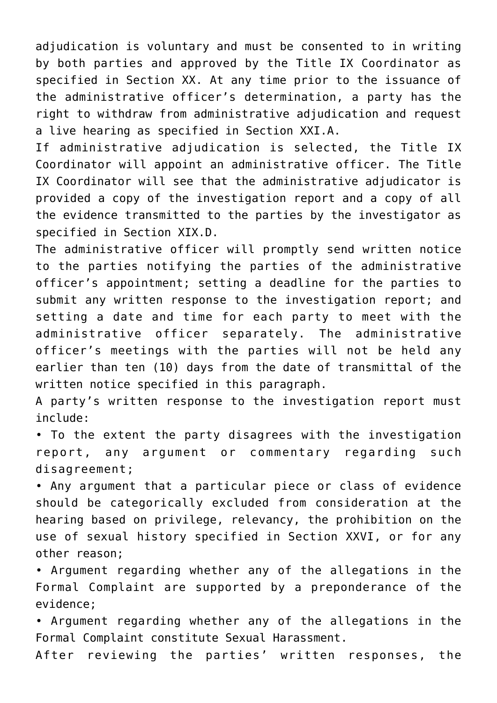adjudication is voluntary and must be consented to in writing by both parties and approved by the Title IX Coordinator as specified in Section XX. At any time prior to the issuance of the administrative officer's determination, a party has the right to withdraw from administrative adjudication and request a live hearing as specified in Section XXI.A.

If administrative adjudication is selected, the Title IX Coordinator will appoint an administrative officer. The Title IX Coordinator will see that the administrative adjudicator is provided a copy of the investigation report and a copy of all the evidence transmitted to the parties by the investigator as specified in Section XIX.D.

The administrative officer will promptly send written notice to the parties notifying the parties of the administrative officer's appointment; setting a deadline for the parties to submit any written response to the investigation report; and setting a date and time for each party to meet with the administrative officer separately. The administrative officer's meetings with the parties will not be held any earlier than ten (10) days from the date of transmittal of the written notice specified in this paragraph.

A party's written response to the investigation report must include:

• To the extent the party disagrees with the investigation report, any argument or commentary regarding such disagreement;

• Any argument that a particular piece or class of evidence should be categorically excluded from consideration at the hearing based on privilege, relevancy, the prohibition on the use of sexual history specified in Section XXVI, or for any other reason;

• Argument regarding whether any of the allegations in the Formal Complaint are supported by a preponderance of the evidence;

• Argument regarding whether any of the allegations in the Formal Complaint constitute Sexual Harassment.

After reviewing the parties' written responses, the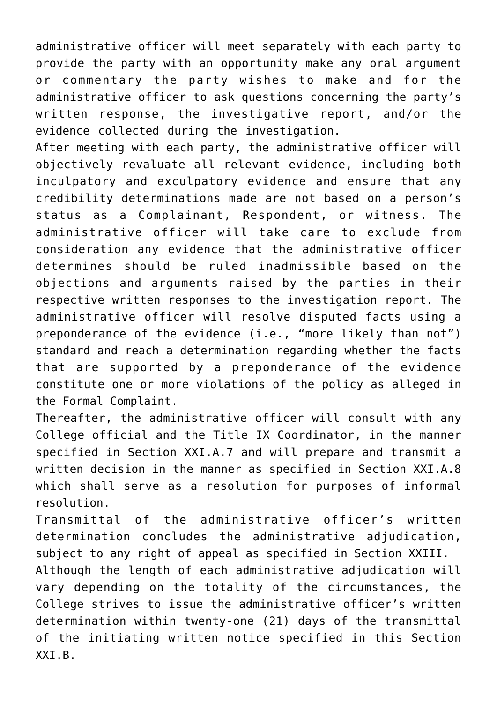administrative officer will meet separately with each party to provide the party with an opportunity make any oral argument or commentary the party wishes to make and for the administrative officer to ask questions concerning the party's written response, the investigative report, and/or the evidence collected during the investigation.

After meeting with each party, the administrative officer will objectively revaluate all relevant evidence, including both inculpatory and exculpatory evidence and ensure that any credibility determinations made are not based on a person's status as a Complainant, Respondent, or witness. The administrative officer will take care to exclude from consideration any evidence that the administrative officer determines should be ruled inadmissible based on the objections and arguments raised by the parties in their respective written responses to the investigation report. The administrative officer will resolve disputed facts using a preponderance of the evidence (i.e., "more likely than not") standard and reach a determination regarding whether the facts that are supported by a preponderance of the evidence constitute one or more violations of the policy as alleged in the Formal Complaint.

Thereafter, the administrative officer will consult with any College official and the Title IX Coordinator, in the manner specified in Section XXI.A.7 and will prepare and transmit a written decision in the manner as specified in Section XXI.A.8 which shall serve as a resolution for purposes of informal resolution.

Transmittal of the administrative officer's written determination concludes the administrative adjudication, subject to any right of appeal as specified in Section XXIII. Although the length of each administrative adjudication will vary depending on the totality of the circumstances, the College strives to issue the administrative officer's written determination within twenty-one (21) days of the transmittal of the initiating written notice specified in this Section XXI.B.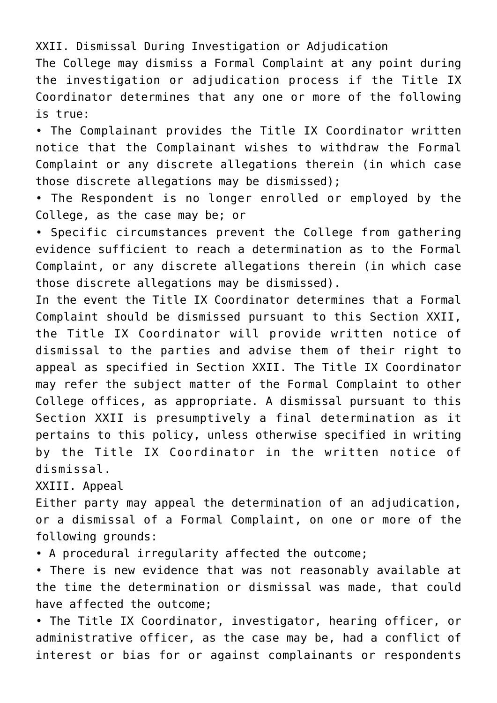XXII. Dismissal During Investigation or Adjudication

The College may dismiss a Formal Complaint at any point during the investigation or adjudication process if the Title IX Coordinator determines that any one or more of the following is true:

• The Complainant provides the Title IX Coordinator written notice that the Complainant wishes to withdraw the Formal Complaint or any discrete allegations therein (in which case those discrete allegations may be dismissed);

• The Respondent is no longer enrolled or employed by the College, as the case may be; or

• Specific circumstances prevent the College from gathering evidence sufficient to reach a determination as to the Formal Complaint, or any discrete allegations therein (in which case those discrete allegations may be dismissed).

In the event the Title IX Coordinator determines that a Formal Complaint should be dismissed pursuant to this Section XXII, the Title IX Coordinator will provide written notice of dismissal to the parties and advise them of their right to appeal as specified in Section XXII. The Title IX Coordinator may refer the subject matter of the Formal Complaint to other College offices, as appropriate. A dismissal pursuant to this Section XXII is presumptively a final determination as it pertains to this policy, unless otherwise specified in writing by the Title IX Coordinator in the written notice of dismissal.

XXIII. Appeal

Either party may appeal the determination of an adjudication, or a dismissal of a Formal Complaint, on one or more of the following grounds:

• A procedural irregularity affected the outcome;

• There is new evidence that was not reasonably available at the time the determination or dismissal was made, that could have affected the outcome;

• The Title IX Coordinator, investigator, hearing officer, or administrative officer, as the case may be, had a conflict of interest or bias for or against complainants or respondents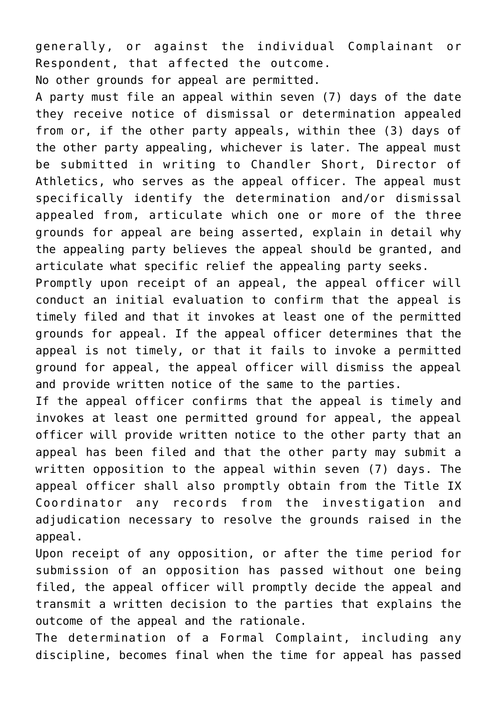generally, or against the individual Complainant or Respondent, that affected the outcome. No other grounds for appeal are permitted.

A party must file an appeal within seven (7) days of the date they receive notice of dismissal or determination appealed from or, if the other party appeals, within thee (3) days of the other party appealing, whichever is later. The appeal must be submitted in writing to Chandler Short, Director of Athletics, who serves as the appeal officer. The appeal must specifically identify the determination and/or dismissal appealed from, articulate which one or more of the three grounds for appeal are being asserted, explain in detail why the appealing party believes the appeal should be granted, and articulate what specific relief the appealing party seeks.

Promptly upon receipt of an appeal, the appeal officer will conduct an initial evaluation to confirm that the appeal is timely filed and that it invokes at least one of the permitted grounds for appeal. If the appeal officer determines that the appeal is not timely, or that it fails to invoke a permitted ground for appeal, the appeal officer will dismiss the appeal and provide written notice of the same to the parties.

If the appeal officer confirms that the appeal is timely and invokes at least one permitted ground for appeal, the appeal officer will provide written notice to the other party that an appeal has been filed and that the other party may submit a written opposition to the appeal within seven (7) days. The appeal officer shall also promptly obtain from the Title IX Coordinator any records from the investigation and adjudication necessary to resolve the grounds raised in the appeal.

Upon receipt of any opposition, or after the time period for submission of an opposition has passed without one being filed, the appeal officer will promptly decide the appeal and transmit a written decision to the parties that explains the outcome of the appeal and the rationale.

The determination of a Formal Complaint, including any discipline, becomes final when the time for appeal has passed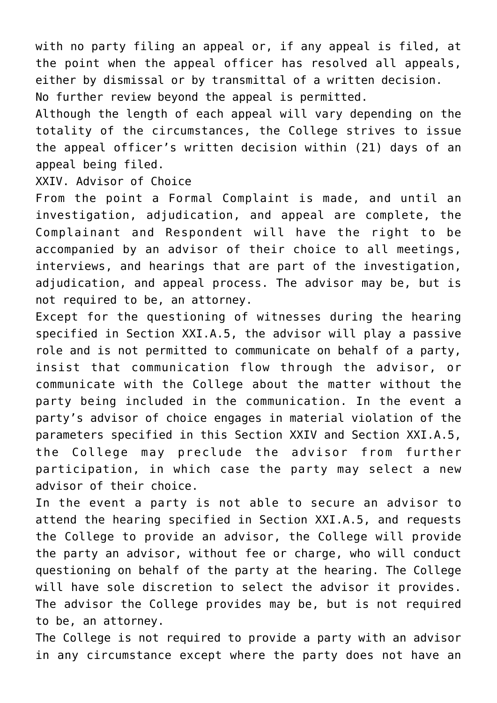with no party filing an appeal or, if any appeal is filed, at the point when the appeal officer has resolved all appeals, either by dismissal or by transmittal of a written decision. No further review beyond the appeal is permitted.

Although the length of each appeal will vary depending on the totality of the circumstances, the College strives to issue the appeal officer's written decision within (21) days of an appeal being filed.

XXIV. Advisor of Choice

From the point a Formal Complaint is made, and until an investigation, adjudication, and appeal are complete, the Complainant and Respondent will have the right to be accompanied by an advisor of their choice to all meetings, interviews, and hearings that are part of the investigation, adjudication, and appeal process. The advisor may be, but is not required to be, an attorney.

Except for the questioning of witnesses during the hearing specified in Section XXI.A.5, the advisor will play a passive role and is not permitted to communicate on behalf of a party, insist that communication flow through the advisor, or communicate with the College about the matter without the party being included in the communication. In the event a party's advisor of choice engages in material violation of the parameters specified in this Section XXIV and Section XXI.A.5, the College may preclude the advisor from further participation, in which case the party may select a new advisor of their choice.

In the event a party is not able to secure an advisor to attend the hearing specified in Section XXI.A.5, and requests the College to provide an advisor, the College will provide the party an advisor, without fee or charge, who will conduct questioning on behalf of the party at the hearing. The College will have sole discretion to select the advisor it provides. The advisor the College provides may be, but is not required to be, an attorney.

The College is not required to provide a party with an advisor in any circumstance except where the party does not have an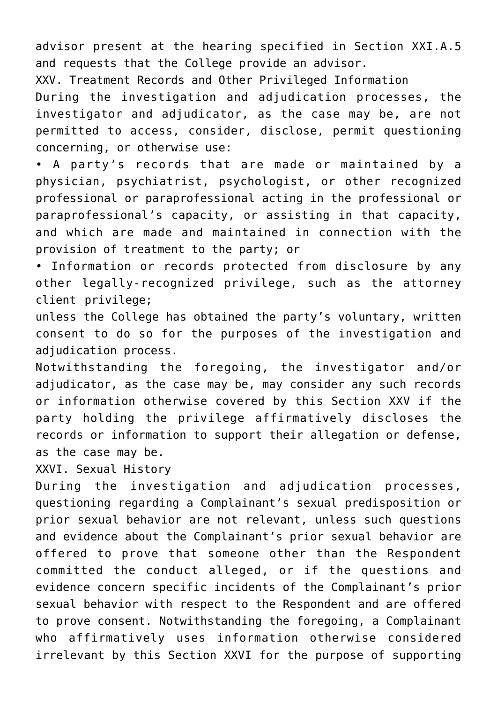advisor present at the hearing specified in Section XXI.A.5 and requests that the College provide an advisor.

XXV. Treatment Records and Other Privileged Information

During the investigation and adjudication processes, the investigator and adjudicator, as the case may be, are not permitted to access, consider, disclose, permit questioning concerning, or otherwise use:

• A party's records that are made or maintained by a physician, psychiatrist, psychologist, or other recognized professional or paraprofessional acting in the professional or paraprofessional's capacity, or assisting in that capacity, and which are made and maintained in connection with the provision of treatment to the party; or

• Information or records protected from disclosure by any other legally-recognized privilege, such as the attorney client privilege;

unless the College has obtained the party's voluntary, written consent to do so for the purposes of the investigation and adjudication process.

Notwithstanding the foregoing, the investigator and/or adjudicator, as the case may be, may consider any such records or information otherwise covered by this Section XXV if the party holding the privilege affirmatively discloses the records or information to support their allegation or defense, as the case may be.

XXVI. Sexual History

During the investigation and adjudication processes, questioning regarding a Complainant's sexual predisposition or prior sexual behavior are not relevant, unless such questions and evidence about the Complainant's prior sexual behavior are offered to prove that someone other than the Respondent committed the conduct alleged, or if the questions and evidence concern specific incidents of the Complainant's prior sexual behavior with respect to the Respondent and are offered to prove consent. Notwithstanding the foregoing, a Complainant who affirmatively uses information otherwise considered irrelevant by this Section XXVI for the purpose of supporting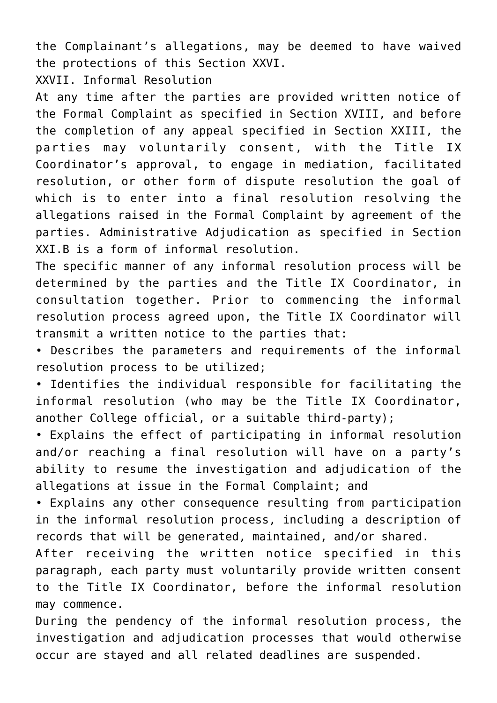the Complainant's allegations, may be deemed to have waived the protections of this Section XXVI.

XXVII. Informal Resolution

At any time after the parties are provided written notice of the Formal Complaint as specified in Section XVIII, and before the completion of any appeal specified in Section XXIII, the parties may voluntarily consent, with the Title IX Coordinator's approval, to engage in mediation, facilitated resolution, or other form of dispute resolution the goal of which is to enter into a final resolution resolving the allegations raised in the Formal Complaint by agreement of the parties. Administrative Adjudication as specified in Section XXI.B is a form of informal resolution.

The specific manner of any informal resolution process will be determined by the parties and the Title IX Coordinator, in consultation together. Prior to commencing the informal resolution process agreed upon, the Title IX Coordinator will transmit a written notice to the parties that:

• Describes the parameters and requirements of the informal resolution process to be utilized;

• Identifies the individual responsible for facilitating the informal resolution (who may be the Title IX Coordinator, another College official, or a suitable third-party);

• Explains the effect of participating in informal resolution and/or reaching a final resolution will have on a party's ability to resume the investigation and adjudication of the allegations at issue in the Formal Complaint; and

• Explains any other consequence resulting from participation in the informal resolution process, including a description of records that will be generated, maintained, and/or shared.

After receiving the written notice specified in this paragraph, each party must voluntarily provide written consent to the Title IX Coordinator, before the informal resolution may commence.

During the pendency of the informal resolution process, the investigation and adjudication processes that would otherwise occur are stayed and all related deadlines are suspended.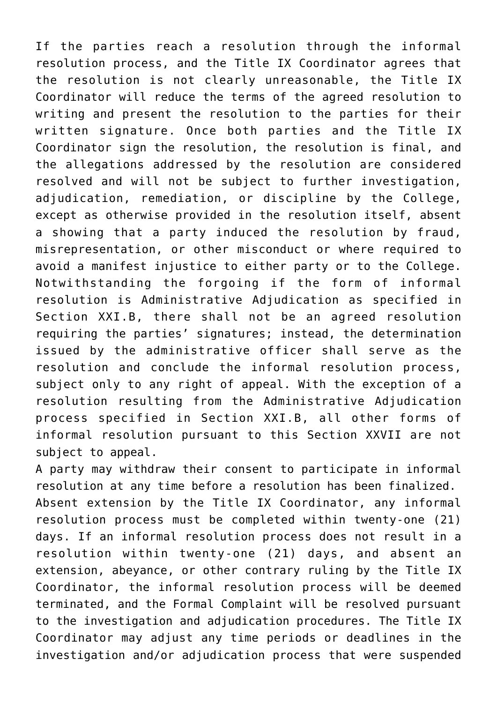If the parties reach a resolution through the informal resolution process, and the Title IX Coordinator agrees that the resolution is not clearly unreasonable, the Title IX Coordinator will reduce the terms of the agreed resolution to writing and present the resolution to the parties for their written signature. Once both parties and the Title IX Coordinator sign the resolution, the resolution is final, and the allegations addressed by the resolution are considered resolved and will not be subject to further investigation, adjudication, remediation, or discipline by the College, except as otherwise provided in the resolution itself, absent a showing that a party induced the resolution by fraud, misrepresentation, or other misconduct or where required to avoid a manifest injustice to either party or to the College. Notwithstanding the forgoing if the form of informal resolution is Administrative Adjudication as specified in Section XXI.B, there shall not be an agreed resolution requiring the parties' signatures; instead, the determination issued by the administrative officer shall serve as the resolution and conclude the informal resolution process, subject only to any right of appeal. With the exception of a resolution resulting from the Administrative Adjudication process specified in Section XXI.B, all other forms of informal resolution pursuant to this Section XXVII are not subject to appeal.

A party may withdraw their consent to participate in informal resolution at any time before a resolution has been finalized. Absent extension by the Title IX Coordinator, any informal resolution process must be completed within twenty-one (21) days. If an informal resolution process does not result in a resolution within twenty-one (21) days, and absent an extension, abeyance, or other contrary ruling by the Title IX Coordinator, the informal resolution process will be deemed terminated, and the Formal Complaint will be resolved pursuant to the investigation and adjudication procedures. The Title IX Coordinator may adjust any time periods or deadlines in the investigation and/or adjudication process that were suspended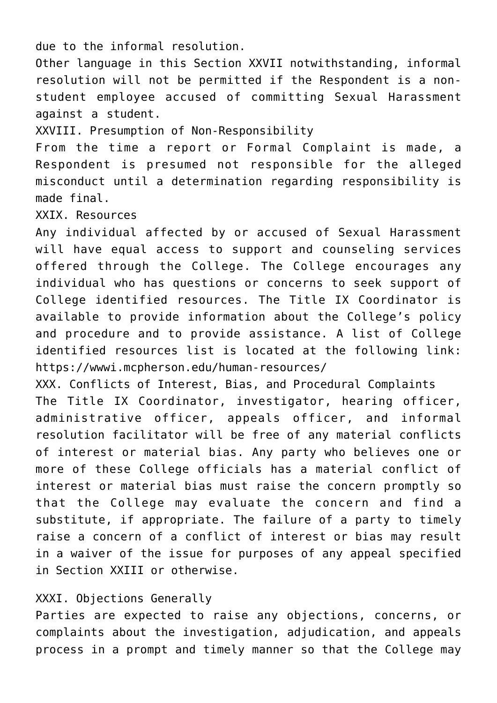due to the informal resolution.

Other language in this Section XXVII notwithstanding, informal resolution will not be permitted if the Respondent is a nonstudent employee accused of committing Sexual Harassment against a student.

XXVIII. Presumption of Non-Responsibility

From the time a report or Formal Complaint is made, a Respondent is presumed not responsible for the alleged misconduct until a determination regarding responsibility is made final.

XXIX. Resources

Any individual affected by or accused of Sexual Harassment will have equal access to support and counseling services offered through the College. The College encourages any individual who has questions or concerns to seek support of College identified resources. The Title IX Coordinator is available to provide information about the College's policy and procedure and to provide assistance. A list of College identified resources list is located at the following link: https://wwwi.mcpherson.edu/human-resources/

XXX. Conflicts of Interest, Bias, and Procedural Complaints The Title IX Coordinator, investigator, hearing officer, administrative officer, appeals officer, and informal resolution facilitator will be free of any material conflicts of interest or material bias. Any party who believes one or more of these College officials has a material conflict of interest or material bias must raise the concern promptly so that the College may evaluate the concern and find a substitute, if appropriate. The failure of a party to timely raise a concern of a conflict of interest or bias may result in a waiver of the issue for purposes of any appeal specified in Section XXIII or otherwise.

# XXXI. Objections Generally

Parties are expected to raise any objections, concerns, or complaints about the investigation, adjudication, and appeals process in a prompt and timely manner so that the College may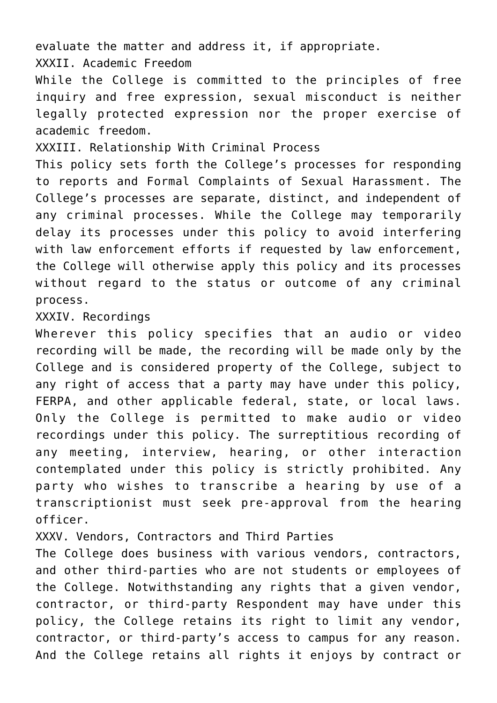evaluate the matter and address it, if appropriate.

XXXII. Academic Freedom

While the College is committed to the principles of free inquiry and free expression, sexual misconduct is neither legally protected expression nor the proper exercise of academic freedom.

XXXIII. Relationship With Criminal Process

This policy sets forth the College's processes for responding to reports and Formal Complaints of Sexual Harassment. The College's processes are separate, distinct, and independent of any criminal processes. While the College may temporarily delay its processes under this policy to avoid interfering with law enforcement efforts if requested by law enforcement, the College will otherwise apply this policy and its processes without regard to the status or outcome of any criminal process.

XXXIV. Recordings

Wherever this policy specifies that an audio or video recording will be made, the recording will be made only by the College and is considered property of the College, subject to any right of access that a party may have under this policy, FERPA, and other applicable federal, state, or local laws. Only the College is permitted to make audio or video recordings under this policy. The surreptitious recording of any meeting, interview, hearing, or other interaction contemplated under this policy is strictly prohibited. Any party who wishes to transcribe a hearing by use of a transcriptionist must seek pre-approval from the hearing officer.

XXXV. Vendors, Contractors and Third Parties

The College does business with various vendors, contractors, and other third-parties who are not students or employees of the College. Notwithstanding any rights that a given vendor, contractor, or third-party Respondent may have under this policy, the College retains its right to limit any vendor, contractor, or third-party's access to campus for any reason. And the College retains all rights it enjoys by contract or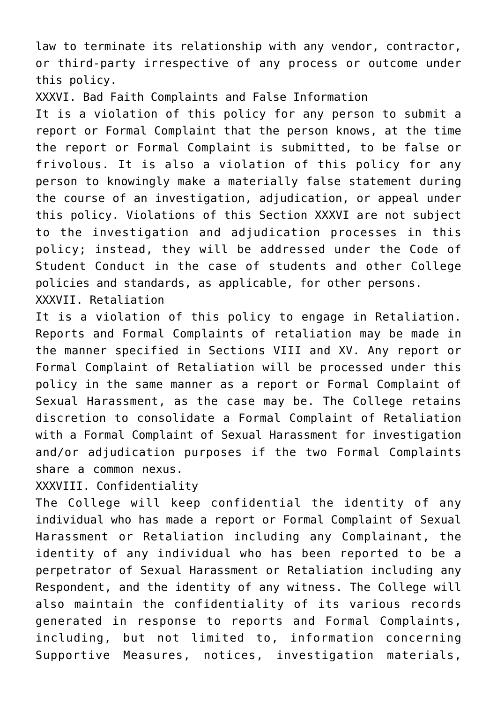law to terminate its relationship with any vendor, contractor, or third-party irrespective of any process or outcome under this policy.

XXXVI. Bad Faith Complaints and False Information

It is a violation of this policy for any person to submit a report or Formal Complaint that the person knows, at the time the report or Formal Complaint is submitted, to be false or frivolous. It is also a violation of this policy for any person to knowingly make a materially false statement during the course of an investigation, adjudication, or appeal under this policy. Violations of this Section XXXVI are not subject to the investigation and adjudication processes in this policy; instead, they will be addressed under the Code of Student Conduct in the case of students and other College policies and standards, as applicable, for other persons. XXXVII. Retaliation

It is a violation of this policy to engage in Retaliation. Reports and Formal Complaints of retaliation may be made in the manner specified in Sections VIII and XV. Any report or Formal Complaint of Retaliation will be processed under this policy in the same manner as a report or Formal Complaint of Sexual Harassment, as the case may be. The College retains discretion to consolidate a Formal Complaint of Retaliation with a Formal Complaint of Sexual Harassment for investigation and/or adjudication purposes if the two Formal Complaints share a common nexus.

XXXVIII. Confidentiality

The College will keep confidential the identity of any individual who has made a report or Formal Complaint of Sexual Harassment or Retaliation including any Complainant, the identity of any individual who has been reported to be a perpetrator of Sexual Harassment or Retaliation including any Respondent, and the identity of any witness. The College will also maintain the confidentiality of its various records generated in response to reports and Formal Complaints, including, but not limited to, information concerning Supportive Measures, notices, investigation materials,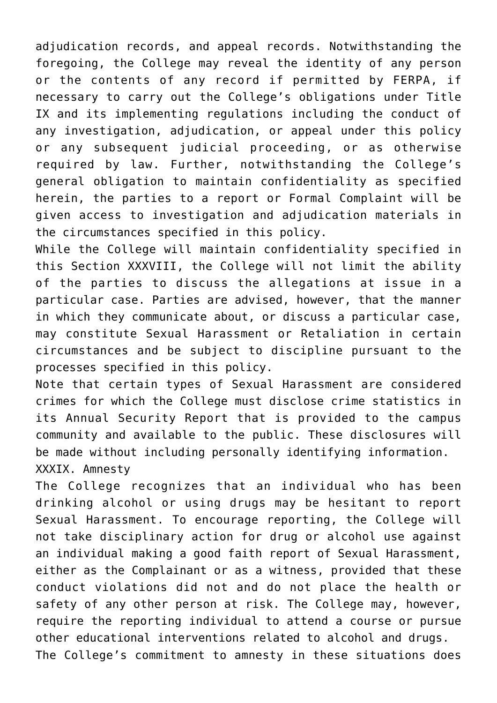adjudication records, and appeal records. Notwithstanding the foregoing, the College may reveal the identity of any person or the contents of any record if permitted by FERPA, if necessary to carry out the College's obligations under Title IX and its implementing regulations including the conduct of any investigation, adjudication, or appeal under this policy or any subsequent judicial proceeding, or as otherwise required by law. Further, notwithstanding the College's general obligation to maintain confidentiality as specified herein, the parties to a report or Formal Complaint will be given access to investigation and adjudication materials in the circumstances specified in this policy.

While the College will maintain confidentiality specified in this Section XXXVIII, the College will not limit the ability of the parties to discuss the allegations at issue in a particular case. Parties are advised, however, that the manner in which they communicate about, or discuss a particular case, may constitute Sexual Harassment or Retaliation in certain circumstances and be subject to discipline pursuant to the processes specified in this policy.

Note that certain types of Sexual Harassment are considered crimes for which the College must disclose crime statistics in its Annual Security Report that is provided to the campus community and available to the public. These disclosures will be made without including personally identifying information. XXXIX. Amnesty

The College recognizes that an individual who has been drinking alcohol or using drugs may be hesitant to report Sexual Harassment. To encourage reporting, the College will not take disciplinary action for drug or alcohol use against an individual making a good faith report of Sexual Harassment, either as the Complainant or as a witness, provided that these conduct violations did not and do not place the health or safety of any other person at risk. The College may, however, require the reporting individual to attend a course or pursue other educational interventions related to alcohol and drugs. The College's commitment to amnesty in these situations does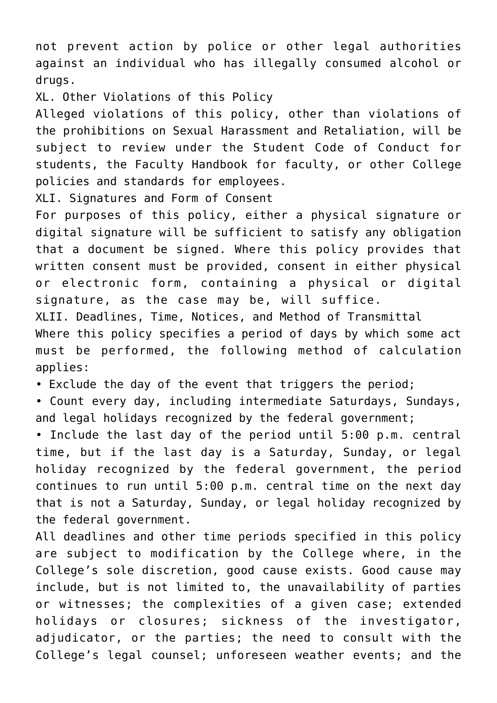not prevent action by police or other legal authorities against an individual who has illegally consumed alcohol or drugs.

XL. Other Violations of this Policy

Alleged violations of this policy, other than violations of the prohibitions on Sexual Harassment and Retaliation, will be subject to review under the Student Code of Conduct for students, the Faculty Handbook for faculty, or other College policies and standards for employees.

XLI. Signatures and Form of Consent

For purposes of this policy, either a physical signature or digital signature will be sufficient to satisfy any obligation that a document be signed. Where this policy provides that written consent must be provided, consent in either physical or electronic form, containing a physical or digital signature, as the case may be, will suffice.

XLII. Deadlines, Time, Notices, and Method of Transmittal

Where this policy specifies a period of days by which some act must be performed, the following method of calculation applies:

• Exclude the day of the event that triggers the period;

• Count every day, including intermediate Saturdays, Sundays, and legal holidays recognized by the federal government;

• Include the last day of the period until 5:00 p.m. central time, but if the last day is a Saturday, Sunday, or legal holiday recognized by the federal government, the period continues to run until 5:00 p.m. central time on the next day that is not a Saturday, Sunday, or legal holiday recognized by the federal government.

All deadlines and other time periods specified in this policy are subject to modification by the College where, in the College's sole discretion, good cause exists. Good cause may include, but is not limited to, the unavailability of parties or witnesses; the complexities of a given case; extended holidays or closures; sickness of the investigator, adjudicator, or the parties; the need to consult with the College's legal counsel; unforeseen weather events; and the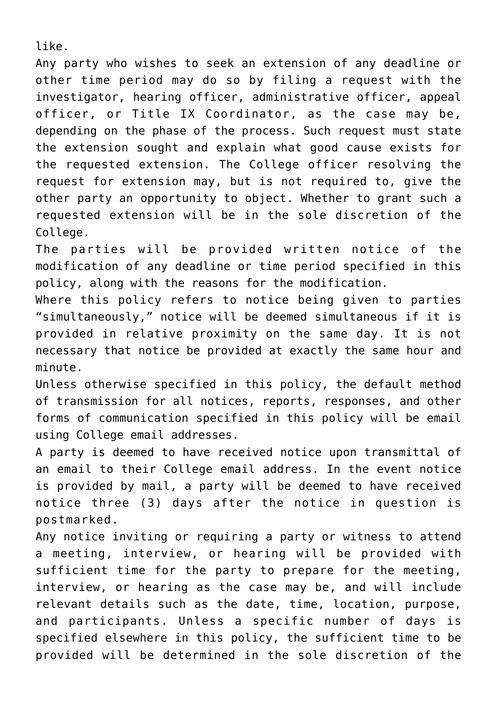like.

Any party who wishes to seek an extension of any deadline or other time period may do so by filing a request with the investigator, hearing officer, administrative officer, appeal officer, or Title IX Coordinator, as the case may be, depending on the phase of the process. Such request must state the extension sought and explain what good cause exists for the requested extension. The College officer resolving the request for extension may, but is not required to, give the other party an opportunity to object. Whether to grant such a requested extension will be in the sole discretion of the College.

The parties will be provided written notice of the modification of any deadline or time period specified in this policy, along with the reasons for the modification.

Where this policy refers to notice being given to parties "simultaneously," notice will be deemed simultaneous if it is provided in relative proximity on the same day. It is not necessary that notice be provided at exactly the same hour and minute.

Unless otherwise specified in this policy, the default method of transmission for all notices, reports, responses, and other forms of communication specified in this policy will be email using College email addresses.

A party is deemed to have received notice upon transmittal of an email to their College email address. In the event notice is provided by mail, a party will be deemed to have received notice three (3) days after the notice in question is postmarked.

Any notice inviting or requiring a party or witness to attend a meeting, interview, or hearing will be provided with sufficient time for the party to prepare for the meeting, interview, or hearing as the case may be, and will include relevant details such as the date, time, location, purpose, and participants. Unless a specific number of days is specified elsewhere in this policy, the sufficient time to be provided will be determined in the sole discretion of the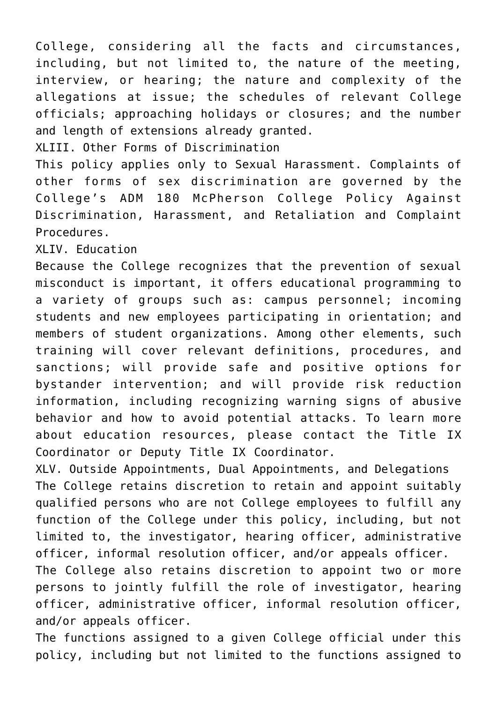College, considering all the facts and circumstances, including, but not limited to, the nature of the meeting, interview, or hearing; the nature and complexity of the allegations at issue; the schedules of relevant College officials; approaching holidays or closures; and the number and length of extensions already granted.

XLIII. Other Forms of Discrimination

This policy applies only to Sexual Harassment. Complaints of other forms of sex discrimination are governed by the College's ADM 180 McPherson College Policy Against Discrimination, Harassment, and Retaliation and Complaint Procedures.

XLIV. Education

Because the College recognizes that the prevention of sexual misconduct is important, it offers educational programming to a variety of groups such as: campus personnel; incoming students and new employees participating in orientation; and members of student organizations. Among other elements, such training will cover relevant definitions, procedures, and sanctions; will provide safe and positive options for bystander intervention; and will provide risk reduction information, including recognizing warning signs of abusive behavior and how to avoid potential attacks. To learn more about education resources, please contact the Title IX Coordinator or Deputy Title IX Coordinator.

XLV. Outside Appointments, Dual Appointments, and Delegations The College retains discretion to retain and appoint suitably qualified persons who are not College employees to fulfill any function of the College under this policy, including, but not limited to, the investigator, hearing officer, administrative officer, informal resolution officer, and/or appeals officer.

The College also retains discretion to appoint two or more persons to jointly fulfill the role of investigator, hearing officer, administrative officer, informal resolution officer, and/or appeals officer.

The functions assigned to a given College official under this policy, including but not limited to the functions assigned to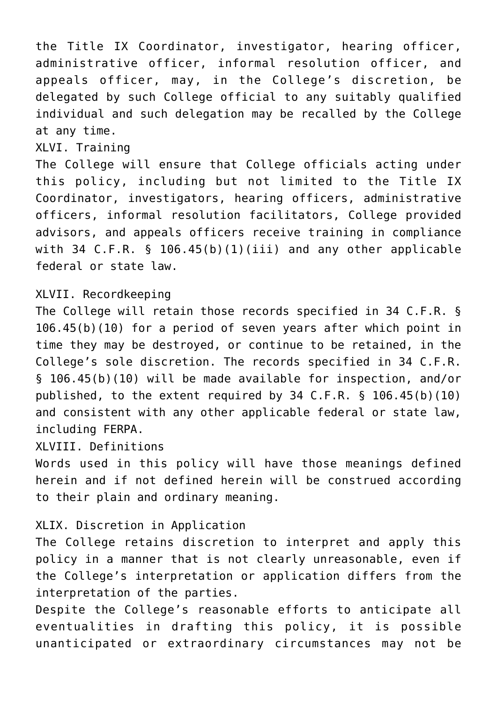the Title IX Coordinator, investigator, hearing officer, administrative officer, informal resolution officer, and appeals officer, may, in the College's discretion, be delegated by such College official to any suitably qualified individual and such delegation may be recalled by the College at any time.

# XLVI. Training

The College will ensure that College officials acting under this policy, including but not limited to the Title IX Coordinator, investigators, hearing officers, administrative officers, informal resolution facilitators, College provided advisors, and appeals officers receive training in compliance with 34 C.F.R. § 106.45(b)(1)(iii) and any other applicable federal or state law.

# XLVII. Recordkeeping

The College will retain those records specified in 34 C.F.R. § 106.45(b)(10) for a period of seven years after which point in time they may be destroyed, or continue to be retained, in the College's sole discretion. The records specified in 34 C.F.R. § 106.45(b)(10) will be made available for inspection, and/or published, to the extent required by 34 C.F.R. § 106.45(b)(10) and consistent with any other applicable federal or state law, including FERPA.

# XLVIII. Definitions

Words used in this policy will have those meanings defined herein and if not defined herein will be construed according to their plain and ordinary meaning.

# XLIX. Discretion in Application

The College retains discretion to interpret and apply this policy in a manner that is not clearly unreasonable, even if the College's interpretation or application differs from the interpretation of the parties.

Despite the College's reasonable efforts to anticipate all eventualities in drafting this policy, it is possible unanticipated or extraordinary circumstances may not be